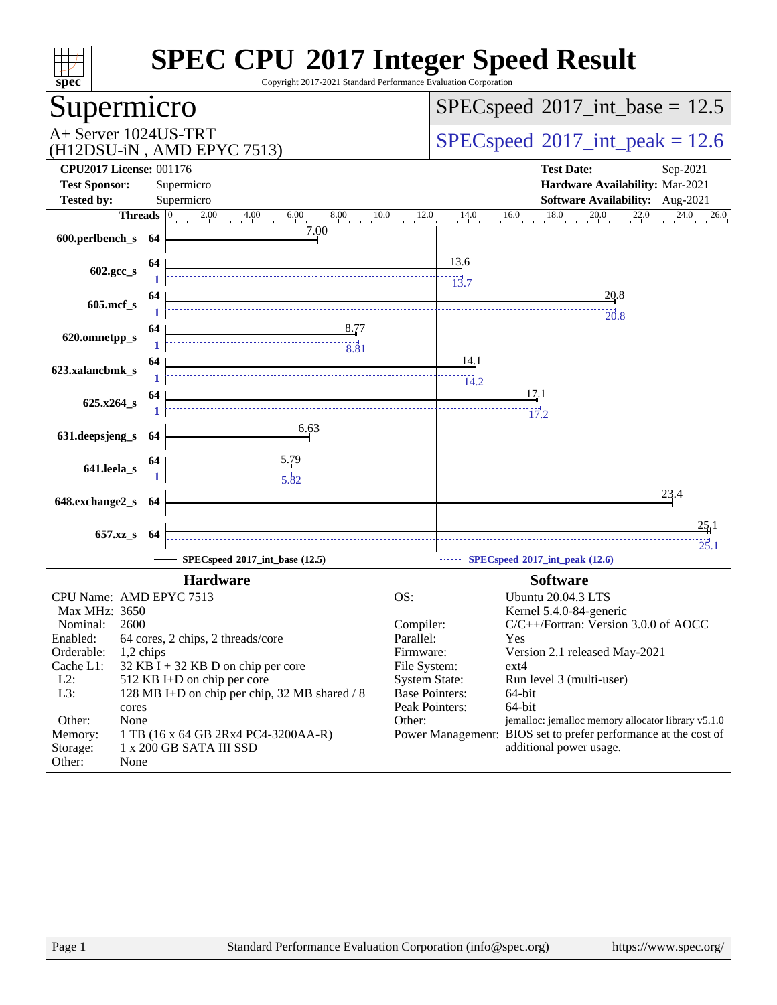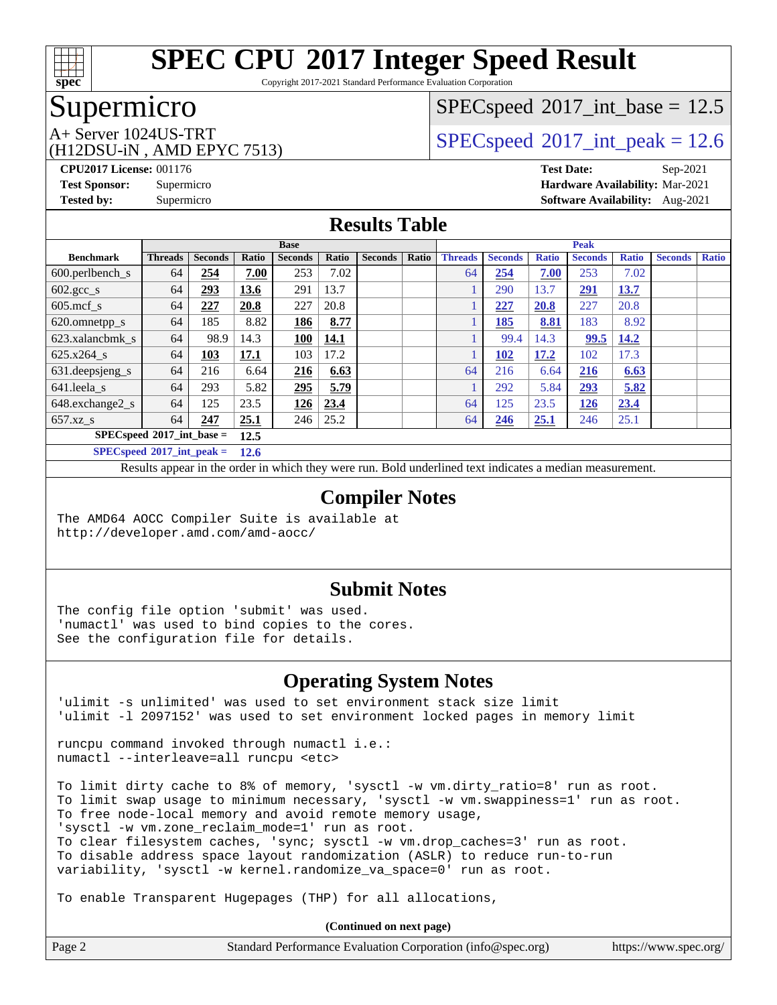

Copyright 2017-2021 Standard Performance Evaluation Corporation

### Supermicro

(H12DSU-iN , AMD EPYC 7513)

 $SPECspeed^{\circledcirc}2017\_int\_base = 12.5$  $SPECspeed^{\circledcirc}2017\_int\_base = 12.5$ 

A+ Server 1024US-TRT  $SPEC speed@2017$ \_int\_peak = 12.6

**[CPU2017 License:](http://www.spec.org/auto/cpu2017/Docs/result-fields.html#CPU2017License)** 001176 **[Test Date:](http://www.spec.org/auto/cpu2017/Docs/result-fields.html#TestDate)** Sep-2021 **[Test Sponsor:](http://www.spec.org/auto/cpu2017/Docs/result-fields.html#TestSponsor)** Supermicro **[Hardware Availability:](http://www.spec.org/auto/cpu2017/Docs/result-fields.html#HardwareAvailability)** Mar-2021 **[Tested by:](http://www.spec.org/auto/cpu2017/Docs/result-fields.html#Testedby)** Supermicro **[Software Availability:](http://www.spec.org/auto/cpu2017/Docs/result-fields.html#SoftwareAvailability)** Aug-2021

### **[Results Table](http://www.spec.org/auto/cpu2017/Docs/result-fields.html#ResultsTable)**

|                                       | <b>Base</b>    |                |       |                | <b>Peak</b> |                |       |                |                |              |                |              |                |              |
|---------------------------------------|----------------|----------------|-------|----------------|-------------|----------------|-------|----------------|----------------|--------------|----------------|--------------|----------------|--------------|
| <b>Benchmark</b>                      | <b>Threads</b> | <b>Seconds</b> | Ratio | <b>Seconds</b> | Ratio       | <b>Seconds</b> | Ratio | <b>Threads</b> | <b>Seconds</b> | <b>Ratio</b> | <b>Seconds</b> | <b>Ratio</b> | <b>Seconds</b> | <b>Ratio</b> |
| $600.$ perlbench $\mathsf{S}$         | 64             | 254            | 7.00  | 253            | 7.02        |                |       | 64             | 254            | 7.00         | 253            | 7.02         |                |              |
| $602.\text{gcc}\_\text{s}$            | 64             | 293            | 13.6  | 291            | 13.7        |                |       |                | 290            | 13.7         | <u>291</u>     | <u>13.7</u>  |                |              |
| $605$ .mcf s                          | 64             | 227            | 20.8  | 227            | 20.8        |                |       |                | 227            | 20.8         | 227            | 20.8         |                |              |
| 620.omnetpp_s                         | 64             | 185            | 8.82  | <u>186</u>     | 8.77        |                |       |                | 185            | 8.81         | 183            | 8.92         |                |              |
| 623.xalancbmk s                       | 64             | 98.9           | 14.3  | 100            | 14.1        |                |       |                | 99.4           | 14.3         | 99.5           | 14.2         |                |              |
| 625.x264 s                            | 64             | 103            | 17.1  | 103            | 17.2        |                |       |                | 102            | 17.2         | 102            | 17.3         |                |              |
| 631.deepsjeng_s                       | 64             | 216            | 6.64  | 216            | 6.63        |                |       | 64             | 216            | 6.64         | 216            | 6.63         |                |              |
| 641.leela s                           | 64             | 293            | 5.82  | 295            | 5.79        |                |       |                | 292            | 5.84         | 293            | 5.82         |                |              |
| 648.exchange2_s                       | 64             | 125            | 23.5  | <u>126</u>     | 23.4        |                |       | 64             | 125            | 23.5         | <u>126</u>     | 23.4         |                |              |
| 657.xz s                              | 64             | 247            | 25.1  | 246            | 25.2        |                |       | 64             | 246            | 25.1         | 246            | 25.1         |                |              |
| $SPECspeed*2017$ int base =           |                |                | 12.5  |                |             |                |       |                |                |              |                |              |                |              |
| $SPEC speed^{\circ}2017\_int\_peak =$ |                |                | 12.6  |                |             |                |       |                |                |              |                |              |                |              |

Results appear in the [order in which they were run.](http://www.spec.org/auto/cpu2017/Docs/result-fields.html#RunOrder) Bold underlined text [indicates a median measurement.](http://www.spec.org/auto/cpu2017/Docs/result-fields.html#Median)

#### **[Compiler Notes](http://www.spec.org/auto/cpu2017/Docs/result-fields.html#CompilerNotes)**

The AMD64 AOCC Compiler Suite is available at <http://developer.amd.com/amd-aocc/>

#### **[Submit Notes](http://www.spec.org/auto/cpu2017/Docs/result-fields.html#SubmitNotes)**

The config file option 'submit' was used. 'numactl' was used to bind copies to the cores. See the configuration file for details.

### **[Operating System Notes](http://www.spec.org/auto/cpu2017/Docs/result-fields.html#OperatingSystemNotes)**

'ulimit -s unlimited' was used to set environment stack size limit 'ulimit -l 2097152' was used to set environment locked pages in memory limit

runcpu command invoked through numactl i.e.: numactl --interleave=all runcpu <etc>

To limit dirty cache to 8% of memory, 'sysctl -w vm.dirty\_ratio=8' run as root. To limit swap usage to minimum necessary, 'sysctl -w vm.swappiness=1' run as root. To free node-local memory and avoid remote memory usage, 'sysctl -w vm.zone\_reclaim\_mode=1' run as root. To clear filesystem caches, 'sync; sysctl -w vm.drop\_caches=3' run as root. To disable address space layout randomization (ASLR) to reduce run-to-run variability, 'sysctl -w kernel.randomize\_va\_space=0' run as root.

To enable Transparent Hugepages (THP) for all allocations,

**(Continued on next page)**

| Page 2<br>Standard Performance Evaluation Corporation (info@spec.org)<br>https://www.spec.org/ |  |
|------------------------------------------------------------------------------------------------|--|
|------------------------------------------------------------------------------------------------|--|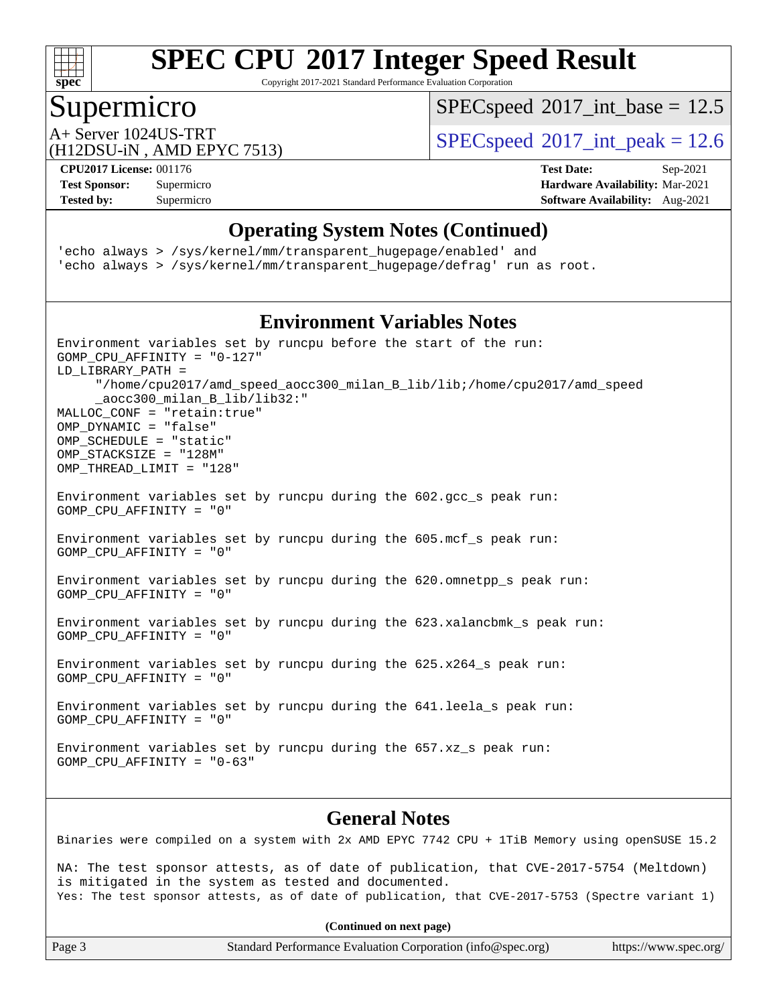

Copyright 2017-2021 Standard Performance Evaluation Corporation

### Supermicro

 $SPEC speed$ <sup>®</sup> $2017$ \_int\_base = 12.5

(H12DSU-iN , AMD EPYC 7513)

A+ Server 1024US-TRT  $SPEC speed@2017\_int\_peak = 12.6$ 

**[Tested by:](http://www.spec.org/auto/cpu2017/Docs/result-fields.html#Testedby)** Supermicro **[Software Availability:](http://www.spec.org/auto/cpu2017/Docs/result-fields.html#SoftwareAvailability)** Aug-2021

**[CPU2017 License:](http://www.spec.org/auto/cpu2017/Docs/result-fields.html#CPU2017License)** 001176 **[Test Date:](http://www.spec.org/auto/cpu2017/Docs/result-fields.html#TestDate)** Sep-2021 **[Test Sponsor:](http://www.spec.org/auto/cpu2017/Docs/result-fields.html#TestSponsor)** Supermicro **[Hardware Availability:](http://www.spec.org/auto/cpu2017/Docs/result-fields.html#HardwareAvailability)** Mar-2021

#### **[Operating System Notes \(Continued\)](http://www.spec.org/auto/cpu2017/Docs/result-fields.html#OperatingSystemNotes)**

'echo always > /sys/kernel/mm/transparent\_hugepage/enabled' and 'echo always > /sys/kernel/mm/transparent\_hugepage/defrag' run as root.

### **[Environment Variables Notes](http://www.spec.org/auto/cpu2017/Docs/result-fields.html#EnvironmentVariablesNotes)**

| Environment variables set by runcpu before the start of the run:<br>GOMP CPU AFFINITY = $"0-127"$<br>LD_LIBRARY_PATH =<br>"/home/cpu2017/amd_speed_aocc300_milan_B_lib/lib;/home/cpu2017/amd_speed<br>_aocc300_milan_B_lib/lib32:"<br>MALLOC_CONF = "retain:true"<br>OMP DYNAMIC = "false"<br>OMP_SCHEDULE = "static"<br>OMP_STACKSIZE = "128M"<br>OMP_THREAD_LIMIT = "128" |  |  |  |  |  |
|-----------------------------------------------------------------------------------------------------------------------------------------------------------------------------------------------------------------------------------------------------------------------------------------------------------------------------------------------------------------------------|--|--|--|--|--|
| Environment variables set by runcpu during the 602.gcc_s peak run:<br>GOMP CPU AFFINITY = "0"                                                                                                                                                                                                                                                                               |  |  |  |  |  |
| Environment variables set by runcpu during the 605.mcf_s peak run:<br>GOMP CPU AFFINITY = "0"                                                                                                                                                                                                                                                                               |  |  |  |  |  |
| Environment variables set by runcpu during the 620.omnetpp_s peak run:<br>GOMP CPU AFFINITY = "0"                                                                                                                                                                                                                                                                           |  |  |  |  |  |
| Environment variables set by runcpu during the 623.xalancbmk_s peak run:<br>GOMP CPU AFFINITY = "0"                                                                                                                                                                                                                                                                         |  |  |  |  |  |
| Environment variables set by runcpu during the 625.x264_s peak run:<br>GOMP CPU AFFINITY = "0"                                                                                                                                                                                                                                                                              |  |  |  |  |  |
| Environment variables set by runcpu during the 641.leela_s peak run:<br>GOMP CPU AFFINITY = "0"                                                                                                                                                                                                                                                                             |  |  |  |  |  |
| Environment variables set by runcpu during the 657.xz_s peak run:<br>GOMP CPU AFFINITY = $"0-63"$                                                                                                                                                                                                                                                                           |  |  |  |  |  |
| <b>General Notes</b>                                                                                                                                                                                                                                                                                                                                                        |  |  |  |  |  |
| Binaries were compiled on a system with 2x AMD EPYC 7742 CPU + 1TiB Memory using openSUSE 15.2                                                                                                                                                                                                                                                                              |  |  |  |  |  |
| NA: The test sponsor attests, as of date of publication, that CVE-2017-5754 (Meltdown)<br>is mitigated in the system as tested and documented.<br>Yes: The test sponsor attests, as of date of publication, that CVE-2017-5753 (Spectre variant 1)                                                                                                                          |  |  |  |  |  |
| (Continued on next page)                                                                                                                                                                                                                                                                                                                                                    |  |  |  |  |  |

Page 3 Standard Performance Evaluation Corporation [\(info@spec.org\)](mailto:info@spec.org) <https://www.spec.org/>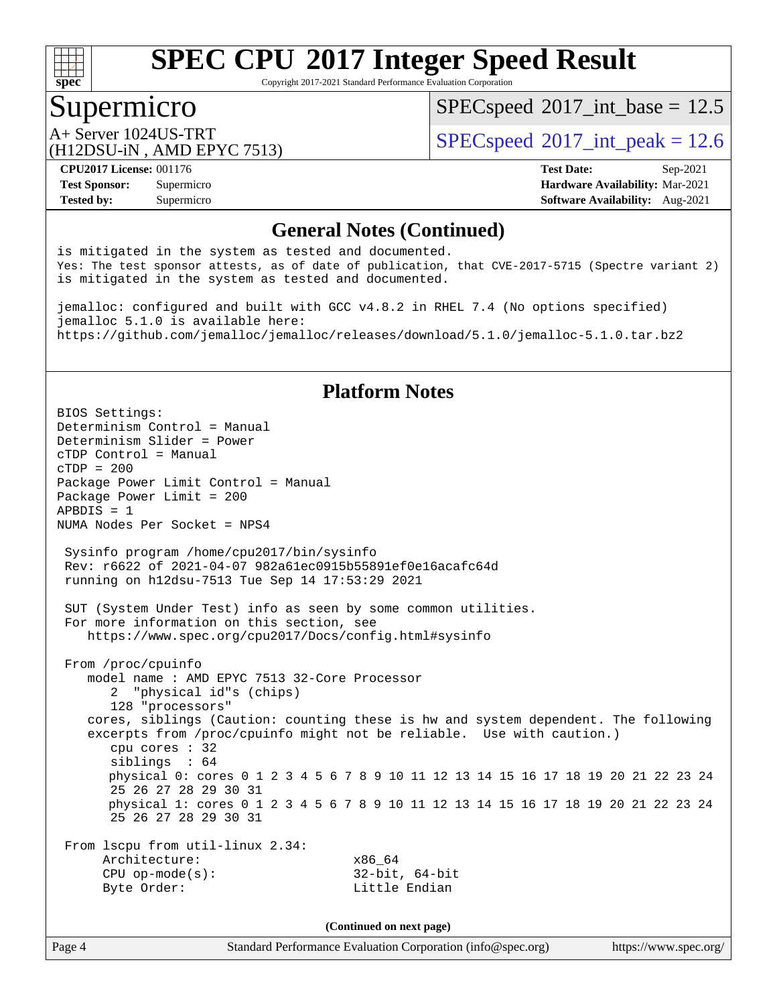

Copyright 2017-2021 Standard Performance Evaluation Corporation

### Supermicro

 $SPECspeed^{\circledcirc}2017\_int\_base = 12.5$  $SPECspeed^{\circledcirc}2017\_int\_base = 12.5$ 

(H12DSU-iN , AMD EPYC 7513)

A+ Server 1024US-TRT  $SPEC speed@2017$ \_int\_peak = 12.6

**[Tested by:](http://www.spec.org/auto/cpu2017/Docs/result-fields.html#Testedby)** Supermicro **[Software Availability:](http://www.spec.org/auto/cpu2017/Docs/result-fields.html#SoftwareAvailability)** Aug-2021

**[CPU2017 License:](http://www.spec.org/auto/cpu2017/Docs/result-fields.html#CPU2017License)** 001176 **[Test Date:](http://www.spec.org/auto/cpu2017/Docs/result-fields.html#TestDate)** Sep-2021 **[Test Sponsor:](http://www.spec.org/auto/cpu2017/Docs/result-fields.html#TestSponsor)** Supermicro **[Hardware Availability:](http://www.spec.org/auto/cpu2017/Docs/result-fields.html#HardwareAvailability)** Mar-2021

#### **[General Notes \(Continued\)](http://www.spec.org/auto/cpu2017/Docs/result-fields.html#GeneralNotes)**

is mitigated in the system as tested and documented. Yes: The test sponsor attests, as of date of publication, that CVE-2017-5715 (Spectre variant 2) is mitigated in the system as tested and documented.

jemalloc: configured and built with GCC v4.8.2 in RHEL 7.4 (No options specified) jemalloc 5.1.0 is available here: <https://github.com/jemalloc/jemalloc/releases/download/5.1.0/jemalloc-5.1.0.tar.bz2>

#### **[Platform Notes](http://www.spec.org/auto/cpu2017/Docs/result-fields.html#PlatformNotes)**

BIOS Settings: Determinism Control = Manual Determinism Slider = Power cTDP Control = Manual cTDP = 200 Package Power Limit Control = Manual Package Power Limit = 200 APBDIS = 1 NUMA Nodes Per Socket = NPS4 Sysinfo program /home/cpu2017/bin/sysinfo Rev: r6622 of 2021-04-07 982a61ec0915b55891ef0e16acafc64d running on h12dsu-7513 Tue Sep 14 17:53:29 2021 SUT (System Under Test) info as seen by some common utilities. For more information on this section, see <https://www.spec.org/cpu2017/Docs/config.html#sysinfo> From /proc/cpuinfo model name : AMD EPYC 7513 32-Core Processor 2 "physical id"s (chips) 128 "processors" cores, siblings (Caution: counting these is hw and system dependent. The following excerpts from /proc/cpuinfo might not be reliable. Use with caution.) cpu cores : 32 siblings : 64 physical 0: cores 0 1 2 3 4 5 6 7 8 9 10 11 12 13 14 15 16 17 18 19 20 21 22 23 24 25 26 27 28 29 30 31 physical 1: cores 0 1 2 3 4 5 6 7 8 9 10 11 12 13 14 15 16 17 18 19 20 21 22 23 24 25 26 27 28 29 30 31 From lscpu from util-linux 2.34: Architecture: x86\_64 CPU op-mode(s): 32-bit, 64-bit Byte Order: Little Endian **(Continued on next page)**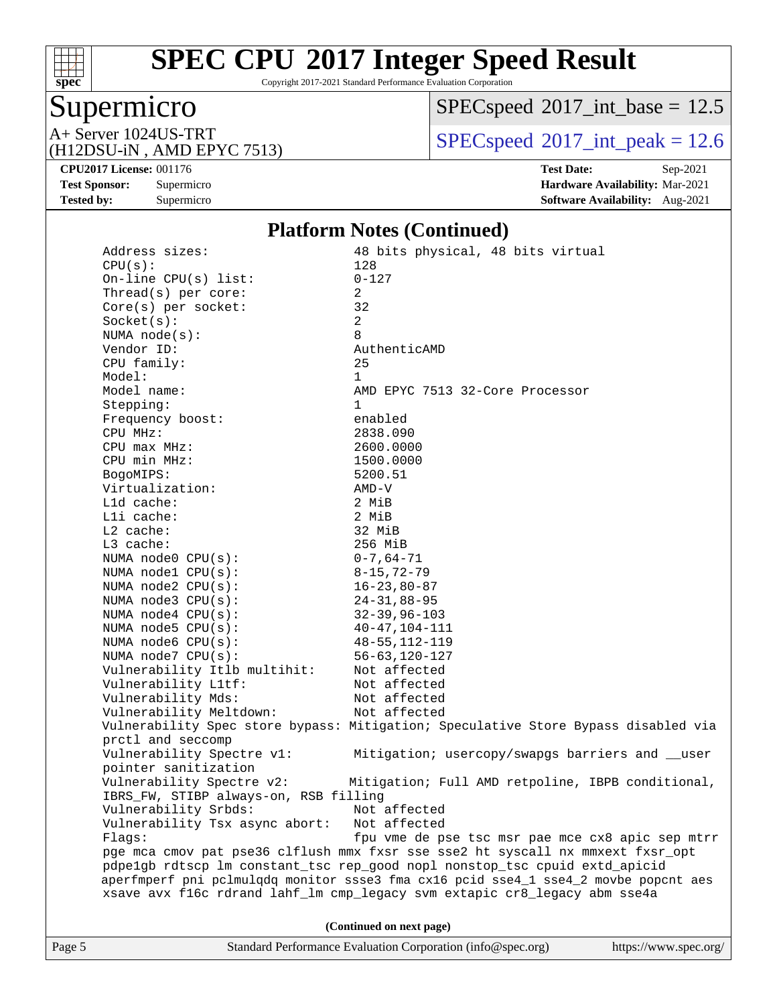

Copyright 2017-2021 Standard Performance Evaluation Corporation

# Supermicro<br>A+ Server 1024US-TRT

 $SPEC speed$ <sup>®</sup>[2017\\_int\\_base =](http://www.spec.org/auto/cpu2017/Docs/result-fields.html#SPECspeed2017intbase) 12.5

(H12DSU-iN , AMD EPYC 7513)

 $SPEC speed$ <sup>®</sup> $2017$ \_int\_peak = 12.6

**[CPU2017 License:](http://www.spec.org/auto/cpu2017/Docs/result-fields.html#CPU2017License)** 001176 **[Test Date:](http://www.spec.org/auto/cpu2017/Docs/result-fields.html#TestDate)** Sep-2021 **[Test Sponsor:](http://www.spec.org/auto/cpu2017/Docs/result-fields.html#TestSponsor)** Supermicro **[Hardware Availability:](http://www.spec.org/auto/cpu2017/Docs/result-fields.html#HardwareAvailability)** Mar-2021 **[Tested by:](http://www.spec.org/auto/cpu2017/Docs/result-fields.html#Testedby)** Supermicro **[Software Availability:](http://www.spec.org/auto/cpu2017/Docs/result-fields.html#SoftwareAvailability)** Aug-2021

#### **[Platform Notes \(Continued\)](http://www.spec.org/auto/cpu2017/Docs/result-fields.html#PlatformNotes)**

| Page 5 |                                               | Standard Performance Evaluation Corporation (info@spec.org)<br>https://www.spec.org/ |
|--------|-----------------------------------------------|--------------------------------------------------------------------------------------|
|        |                                               | (Continued on next page)                                                             |
|        |                                               | xsave avx f16c rdrand lahf_lm cmp_legacy svm extapic cr8_legacy abm sse4a            |
|        |                                               | aperfmperf pni pclmulqdq monitor ssse3 fma cx16 pcid sse4_1 sse4_2 movbe popcnt aes  |
|        |                                               | pdpelgb rdtscp lm constant_tsc rep_good nopl nonstop_tsc cpuid extd_apicid           |
|        |                                               | pge mca cmov pat pse36 clflush mmx fxsr sse sse2 ht syscall nx mmxext fxsr_opt       |
|        | Flaqs:                                        | fpu vme de pse tsc msr pae mce cx8 apic sep mtrr                                     |
|        | Vulnerability Tsx async abort:                | Not affected                                                                         |
|        | Vulnerability Srbds: Not affected             |                                                                                      |
|        | IBRS_FW, STIBP always-on, RSB filling         |                                                                                      |
|        | Vulnerability Spectre v2:                     | Mitigation; Full AMD retpoline, IBPB conditional,                                    |
|        | pointer sanitization                          |                                                                                      |
|        | Vulnerability Spectre v1:                     | Mitigation; usercopy/swapgs barriers and __user                                      |
|        | prctl and seccomp                             |                                                                                      |
|        |                                               | Vulnerability Spec store bypass: Mitigation; Speculative Store Bypass disabled via   |
|        | Vulnerability Meltdown:                       | Not affected                                                                         |
|        | Vulnerability Mds:                            | Not affected                                                                         |
|        | Vulnerability L1tf:                           | Not affected                                                                         |
|        | Vulnerability Itlb multihit:                  | Not affected                                                                         |
|        | NUMA node7 CPU(s):                            | $56 - 63, 120 - 127$                                                                 |
|        | NUMA $node6$ $CPU(s)$ :                       | $48 - 55, 112 - 119$                                                                 |
|        | NUMA $node5$ $CPU(s)$ :                       | $40 - 47, 104 - 111$                                                                 |
|        | NUMA $node4$ $CPU(s):$                        | $32 - 39, 96 - 103$                                                                  |
|        | NUMA node3 CPU(s):                            | $24 - 31, 88 - 95$                                                                   |
|        | NUMA $node2$ $CPU(s):$                        | $16 - 23,80 - 87$                                                                    |
|        | NUMA nodel CPU(s):                            | $8 - 15, 72 - 79$                                                                    |
|        | NUMA node0 CPU(s):                            | $0 - 7$ , 64–71                                                                      |
|        | L3 cache:                                     | 256 MiB                                                                              |
|        | $L2$ cache:                                   | 32 MiB                                                                               |
|        | Lli cache:                                    | 2 MiB                                                                                |
|        | L1d cache:                                    | 2 MiB                                                                                |
|        | Virtualization:                               | AMD-V                                                                                |
|        | BogoMIPS:                                     | 5200.51                                                                              |
|        | $CPU$ min $MHz$ :                             | 1500.0000                                                                            |
|        | $CPU$ max $MHz$ :                             | 2600.0000                                                                            |
|        | CPU MHz:                                      | 2838.090                                                                             |
|        | Frequency boost:                              | enabled                                                                              |
|        | Stepping:                                     | 1                                                                                    |
|        | Model name:                                   | AMD EPYC 7513 32-Core Processor                                                      |
|        | Model:                                        | $\mathbf{1}$                                                                         |
|        | CPU family:                                   | 25                                                                                   |
|        | Vendor ID:                                    | AuthenticAMD                                                                         |
|        | NUMA $node(s)$ :                              | 8                                                                                    |
|        | Socket(s):                                    | $\overline{a}$                                                                       |
|        | Core(s) per socket:                           | 32                                                                                   |
|        | On-line $CPU(s)$ list:<br>Thread(s) per core: | $0 - 127$<br>$\overline{a}$                                                          |
|        | CPU(s):                                       |                                                                                      |
|        |                                               | 48 bits physical, 48 bits virtual<br>128                                             |
|        | Address sizes:                                |                                                                                      |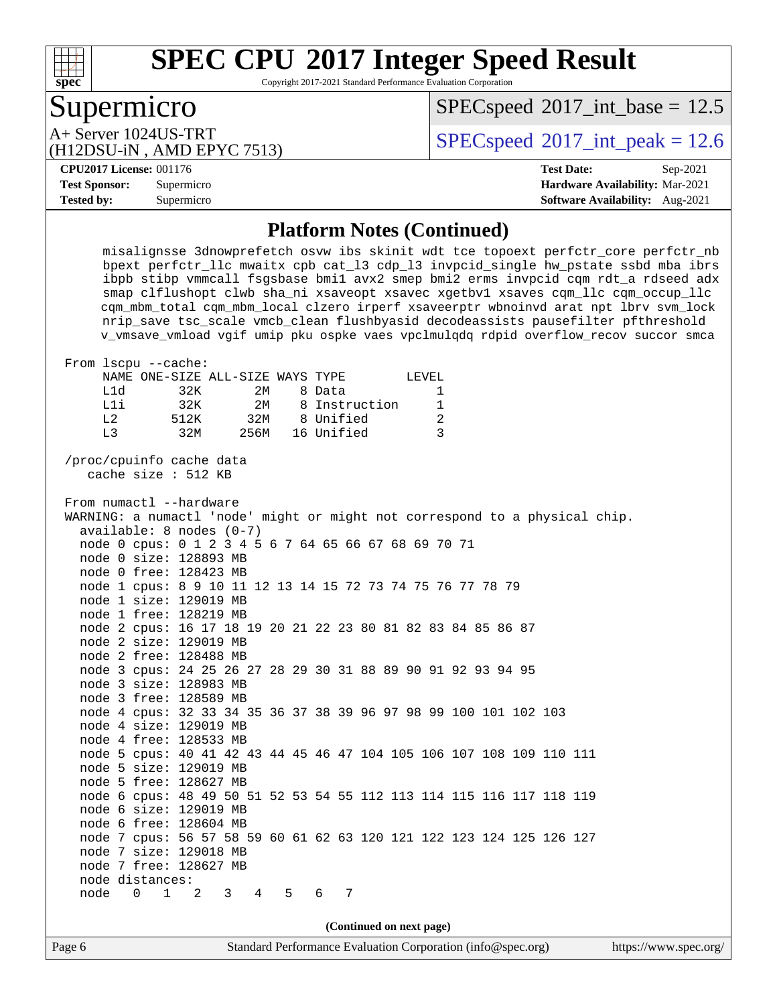

Copyright 2017-2021 Standard Performance Evaluation Corporation

# Supermicro

 $SPECspeed^{\circledcirc}2017\_int\_base = 12.5$  $SPECspeed^{\circledcirc}2017\_int\_base = 12.5$ 

(H12DSU-iN , AMD EPYC 7513)

A+ Server 1024US-TRT  $SPEC speed@2017$ \_int\_peak = 12.6

#### **[CPU2017 License:](http://www.spec.org/auto/cpu2017/Docs/result-fields.html#CPU2017License)** 001176 **[Test Date:](http://www.spec.org/auto/cpu2017/Docs/result-fields.html#TestDate)** Sep-2021

**[Test Sponsor:](http://www.spec.org/auto/cpu2017/Docs/result-fields.html#TestSponsor)** Supermicro **[Hardware Availability:](http://www.spec.org/auto/cpu2017/Docs/result-fields.html#HardwareAvailability)** Mar-2021 **[Tested by:](http://www.spec.org/auto/cpu2017/Docs/result-fields.html#Testedby)** Supermicro **[Software Availability:](http://www.spec.org/auto/cpu2017/Docs/result-fields.html#SoftwareAvailability)** Aug-2021

#### **[Platform Notes \(Continued\)](http://www.spec.org/auto/cpu2017/Docs/result-fields.html#PlatformNotes)**

 misalignsse 3dnowprefetch osvw ibs skinit wdt tce topoext perfctr\_core perfctr\_nb bpext perfctr\_llc mwaitx cpb cat\_l3 cdp\_l3 invpcid\_single hw\_pstate ssbd mba ibrs ibpb stibp vmmcall fsgsbase bmi1 avx2 smep bmi2 erms invpcid cqm rdt\_a rdseed adx smap clflushopt clwb sha\_ni xsaveopt xsavec xgetbv1 xsaves cqm\_llc cqm\_occup\_llc cqm\_mbm\_total cqm\_mbm\_local clzero irperf xsaveerptr wbnoinvd arat npt lbrv svm\_lock nrip\_save tsc\_scale vmcb\_clean flushbyasid decodeassists pausefilter pfthreshold v\_vmsave\_vmload vgif umip pku ospke vaes vpclmulqdq rdpid overflow\_recov succor smca From lscpu --cache: NAME ONE-SIZE ALL-SIZE WAYS TYPE LEVEL L1d 32K 2M 8 Data 1 L1i 32K 2M 8 Instruction 1 L2 512K 32M 8 Unified 2 L3 32M 256M 16 Unified 3 /proc/cpuinfo cache data cache size : 512 KB From numactl --hardware WARNING: a numactl 'node' might or might not correspond to a physical chip. available: 8 nodes (0-7) node 0 cpus: 0 1 2 3 4 5 6 7 64 65 66 67 68 69 70 71 node 0 size: 128893 MB node 0 free: 128423 MB node 1 cpus: 8 9 10 11 12 13 14 15 72 73 74 75 76 77 78 79 node 1 size: 129019 MB node 1 free: 128219 MB node 2 cpus: 16 17 18 19 20 21 22 23 80 81 82 83 84 85 86 87 node 2 size: 129019 MB node 2 free: 128488 MB node 3 cpus: 24 25 26 27 28 29 30 31 88 89 90 91 92 93 94 95 node 3 size: 128983 MB node 3 free: 128589 MB node 4 cpus: 32 33 34 35 36 37 38 39 96 97 98 99 100 101 102 103 node 4 size: 129019 MB node 4 free: 128533 MB node 5 cpus: 40 41 42 43 44 45 46 47 104 105 106 107 108 109 110 111 node 5 size: 129019 MB node 5 free: 128627 MB node 6 cpus: 48 49 50 51 52 53 54 55 112 113 114 115 116 117 118 119 node 6 size: 129019 MB node 6 free: 128604 MB node 7 cpus: 56 57 58 59 60 61 62 63 120 121 122 123 124 125 126 127 node 7 size: 129018 MB node 7 free: 128627 MB node distances: node 0 1 2 3 4 5 6 7

**(Continued on next page)**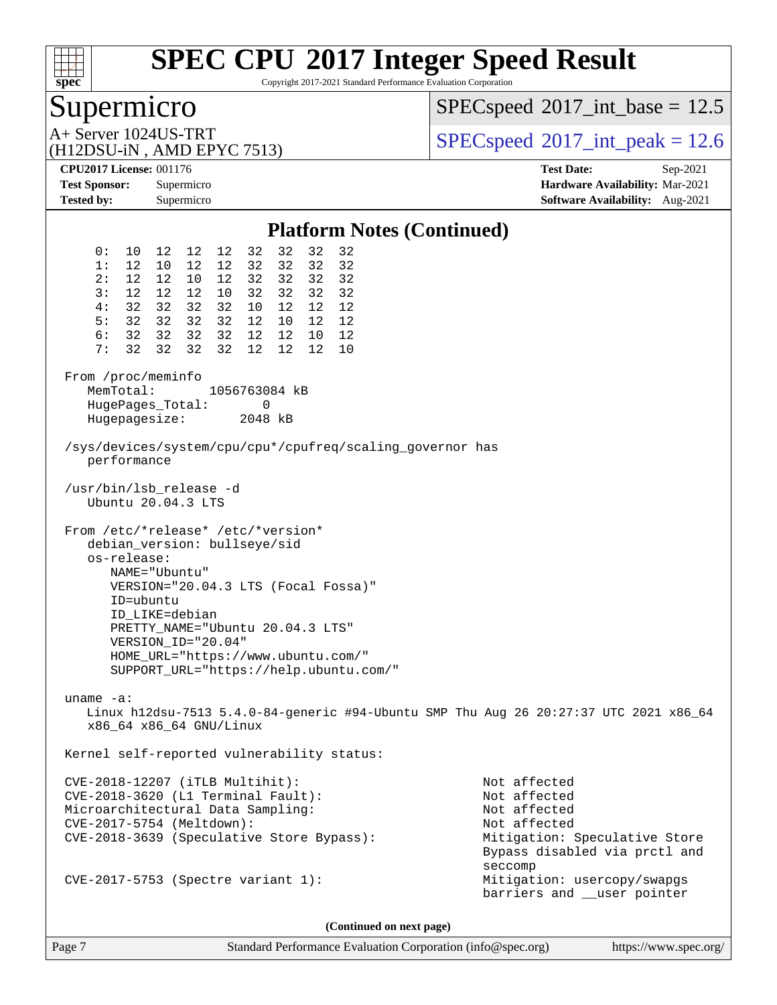

Copyright 2017-2021 Standard Performance Evaluation Corporation

# Supermicro

 $SPEC speed$ <sup>®</sup>[2017\\_int\\_base =](http://www.spec.org/auto/cpu2017/Docs/result-fields.html#SPECspeed2017intbase) 12.5

(H12DSU-iN , AMD EPYC 7513)

A+ Server 1024US-TRT  $\begin{array}{|l|l|}\n\hline\n\text{A+ Server 1024US-TRT}\n\hline\n\text{A+ DPSU} & \text{AMD FPVC 7513}\n\hline\n\end{array}$ 

**[CPU2017 License:](http://www.spec.org/auto/cpu2017/Docs/result-fields.html#CPU2017License)** 001176 **[Test Date:](http://www.spec.org/auto/cpu2017/Docs/result-fields.html#TestDate)** Sep-2021 **[Test Sponsor:](http://www.spec.org/auto/cpu2017/Docs/result-fields.html#TestSponsor)** Supermicro **[Hardware Availability:](http://www.spec.org/auto/cpu2017/Docs/result-fields.html#HardwareAvailability)** Mar-2021 **[Tested by:](http://www.spec.org/auto/cpu2017/Docs/result-fields.html#Testedby)** Supermicro **[Software Availability:](http://www.spec.org/auto/cpu2017/Docs/result-fields.html#SoftwareAvailability)** Aug-2021

| <b>Platform Notes (Continued)</b>                                                                                                                                                                                                                                                                                  |                                                                                                                                           |  |  |  |  |  |  |
|--------------------------------------------------------------------------------------------------------------------------------------------------------------------------------------------------------------------------------------------------------------------------------------------------------------------|-------------------------------------------------------------------------------------------------------------------------------------------|--|--|--|--|--|--|
| 10 12 12 12 32<br>32<br>32<br>32<br>0:<br>12 32 32<br>32<br>32<br>1:<br>12 10 12<br>12 12<br>2:<br>12 32 32<br>32<br>32<br>10<br>12 12 12<br>10 32 32<br>32<br>3:<br>32                                                                                                                                            |                                                                                                                                           |  |  |  |  |  |  |
| 32 32 32<br>4:<br>32 10 12<br>12<br>12<br>32 32 32<br>5:<br>32 12 10<br>12 12<br>6: 32 32 32<br>32 12 12<br>10 12<br>32 32 32<br>32 12 12<br>12 10<br>7:                                                                                                                                                           |                                                                                                                                           |  |  |  |  |  |  |
| From /proc/meminfo<br>MemTotal:<br>1056763084 kB<br>HugePages_Total:<br>0<br>Hugepagesize: 2048 kB                                                                                                                                                                                                                 |                                                                                                                                           |  |  |  |  |  |  |
| performance                                                                                                                                                                                                                                                                                                        | /sys/devices/system/cpu/cpu*/cpufreq/scaling_governor has                                                                                 |  |  |  |  |  |  |
| /usr/bin/lsb_release -d<br>Ubuntu 20.04.3 LTS                                                                                                                                                                                                                                                                      |                                                                                                                                           |  |  |  |  |  |  |
| From /etc/*release* /etc/*version*<br>debian_version: bullseye/sid<br>os-release:<br>NAME="Ubuntu"<br>VERSION="20.04.3 LTS (Focal Fossa)"<br>ID=ubuntu<br>ID_LIKE=debian<br>PRETTY_NAME="Ubuntu 20.04.3 LTS"<br>VERSION_ID="20.04"<br>HOME_URL="https://www.ubuntu.com/"<br>SUPPORT_URL="https://help.ubuntu.com/" |                                                                                                                                           |  |  |  |  |  |  |
| uname $-a$ :<br>Linux h12dsu-7513 5.4.0-84-generic #94-Ubuntu SMP Thu Aug 26 20:27:37 UTC 2021 x86_64<br>x86 64 x86 64 GNU/Linux                                                                                                                                                                                   |                                                                                                                                           |  |  |  |  |  |  |
| Kernel self-reported vulnerability status:                                                                                                                                                                                                                                                                         |                                                                                                                                           |  |  |  |  |  |  |
| CVE-2018-12207 (iTLB Multihit):<br>CVE-2018-3620 (L1 Terminal Fault):<br>Microarchitectural Data Sampling:<br>CVE-2017-5754 (Meltdown):<br>CVE-2018-3639 (Speculative Store Bypass):                                                                                                                               | Not affected<br>Not affected<br>Not affected<br>Not affected<br>Mitigation: Speculative Store<br>Bypass disabled via prctl and<br>seccomp |  |  |  |  |  |  |
| $CVE-2017-5753$ (Spectre variant 1):                                                                                                                                                                                                                                                                               | Mitigation: usercopy/swapgs<br>barriers and __user pointer                                                                                |  |  |  |  |  |  |

**(Continued on next page)**

Page 7 Standard Performance Evaluation Corporation [\(info@spec.org\)](mailto:info@spec.org) <https://www.spec.org/>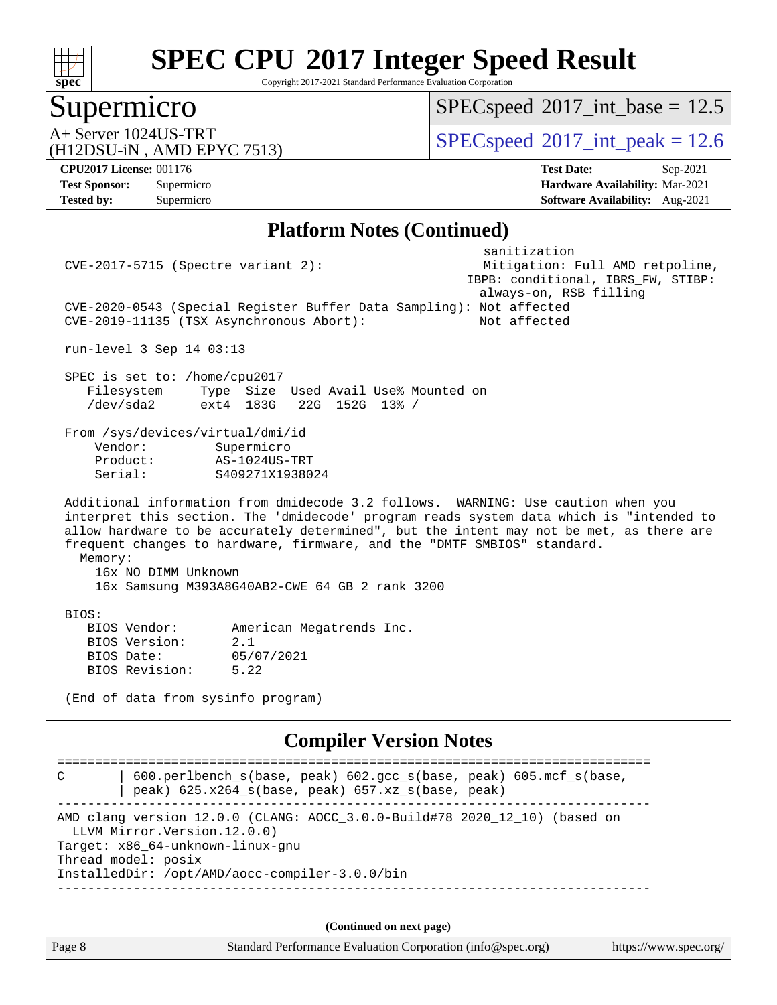

Copyright 2017-2021 Standard Performance Evaluation Corporation

# Supermicro

 $SPECspeed*2017\_int\_base = 12.5$  $SPECspeed*2017\_int\_base = 12.5$ 

A+ Server 1024US-TRT  $\begin{array}{|l|l|}\n\hline\n\text{A+ Server 1024US-TRT}\n\hline\n\text{A+ DPSU} & \text{AMD FPVC 7513}\n\hline\n\end{array}$ 

(H12DSU-iN , AMD EPYC 7513)

**[Tested by:](http://www.spec.org/auto/cpu2017/Docs/result-fields.html#Testedby)** Supermicro **[Software Availability:](http://www.spec.org/auto/cpu2017/Docs/result-fields.html#SoftwareAvailability)** Aug-2021

**[CPU2017 License:](http://www.spec.org/auto/cpu2017/Docs/result-fields.html#CPU2017License)** 001176 **[Test Date:](http://www.spec.org/auto/cpu2017/Docs/result-fields.html#TestDate)** Sep-2021 **[Test Sponsor:](http://www.spec.org/auto/cpu2017/Docs/result-fields.html#TestSponsor)** Supermicro **[Hardware Availability:](http://www.spec.org/auto/cpu2017/Docs/result-fields.html#HardwareAvailability)** Mar-2021

#### **[Platform Notes \(Continued\)](http://www.spec.org/auto/cpu2017/Docs/result-fields.html#PlatformNotes)**

|                                                                        | $CVE-2017-5715$ (Spectre variant 2):                                                                                                                                                                                                                                                                                                                                                                                        | sanitization                                                                 | Mitigation: Full AMD retpoline, |
|------------------------------------------------------------------------|-----------------------------------------------------------------------------------------------------------------------------------------------------------------------------------------------------------------------------------------------------------------------------------------------------------------------------------------------------------------------------------------------------------------------------|------------------------------------------------------------------------------|---------------------------------|
|                                                                        | CVE-2020-0543 (Special Register Buffer Data Sampling): Not affected<br>CVE-2019-11135 (TSX Asynchronous Abort):                                                                                                                                                                                                                                                                                                             | IBPB: conditional, IBRS_FW, STIBP:<br>always-on, RSB filling<br>Not affected |                                 |
| run-level 3 Sep 14 03:13                                               |                                                                                                                                                                                                                                                                                                                                                                                                                             |                                                                              |                                 |
| Filesystem<br>/dev/sda2                                                | SPEC is set to: /home/cpu2017<br>Type Size Used Avail Use% Mounted on<br>ext4 183G 22G 152G 13% /                                                                                                                                                                                                                                                                                                                           |                                                                              |                                 |
| Vendor:<br>Product:<br>Serial:                                         | From /sys/devices/virtual/dmi/id<br>Supermicro<br>AS-1024US-TRT<br>S409271X1938024                                                                                                                                                                                                                                                                                                                                          |                                                                              |                                 |
| Memory:                                                                | Additional information from dmidecode 3.2 follows. WARNING: Use caution when you<br>interpret this section. The 'dmidecode' program reads system data which is "intended to<br>allow hardware to be accurately determined", but the intent may not be met, as there are<br>frequent changes to hardware, firmware, and the "DMTF SMBIOS" standard.<br>16x NO DIMM Unknown<br>16x Samsung M393A8G40AB2-CWE 64 GB 2 rank 3200 |                                                                              |                                 |
| BIOS:<br>BIOS Vendor:<br>BIOS Version:<br>BIOS Date:<br>BIOS Revision: | American Megatrends Inc.<br>2.1<br>05/07/2021<br>5.22                                                                                                                                                                                                                                                                                                                                                                       |                                                                              |                                 |
|                                                                        | (End of data from sysinfo program)                                                                                                                                                                                                                                                                                                                                                                                          |                                                                              |                                 |
|                                                                        | <b>Compiler Version Notes</b>                                                                                                                                                                                                                                                                                                                                                                                               |                                                                              |                                 |
| C                                                                      | 600.perlbench_s(base, peak) 602.gcc_s(base, peak) 605.mcf_s(base,<br>peak) 625.x264_s(base, peak) 657.xz_s(base, peak)                                                                                                                                                                                                                                                                                                      |                                                                              |                                 |
| Thread model: posix                                                    | AMD clang version 12.0.0 (CLANG: AOCC_3.0.0-Build#78 2020_12_10) (based on<br>LLVM Mirror. Version. 12.0.0)<br>Target: x86_64-unknown-linux-gnu<br>InstalledDir: /opt/AMD/aocc-compiler-3.0.0/bin<br>____________________________________                                                                                                                                                                                   | ______________________________                                               |                                 |
|                                                                        |                                                                                                                                                                                                                                                                                                                                                                                                                             |                                                                              |                                 |
| Page 8                                                                 | (Continued on next page)<br>Standard Performance Evaluation Corporation (info@spec.org)                                                                                                                                                                                                                                                                                                                                     |                                                                              | https://www.spec.org/           |
|                                                                        |                                                                                                                                                                                                                                                                                                                                                                                                                             |                                                                              |                                 |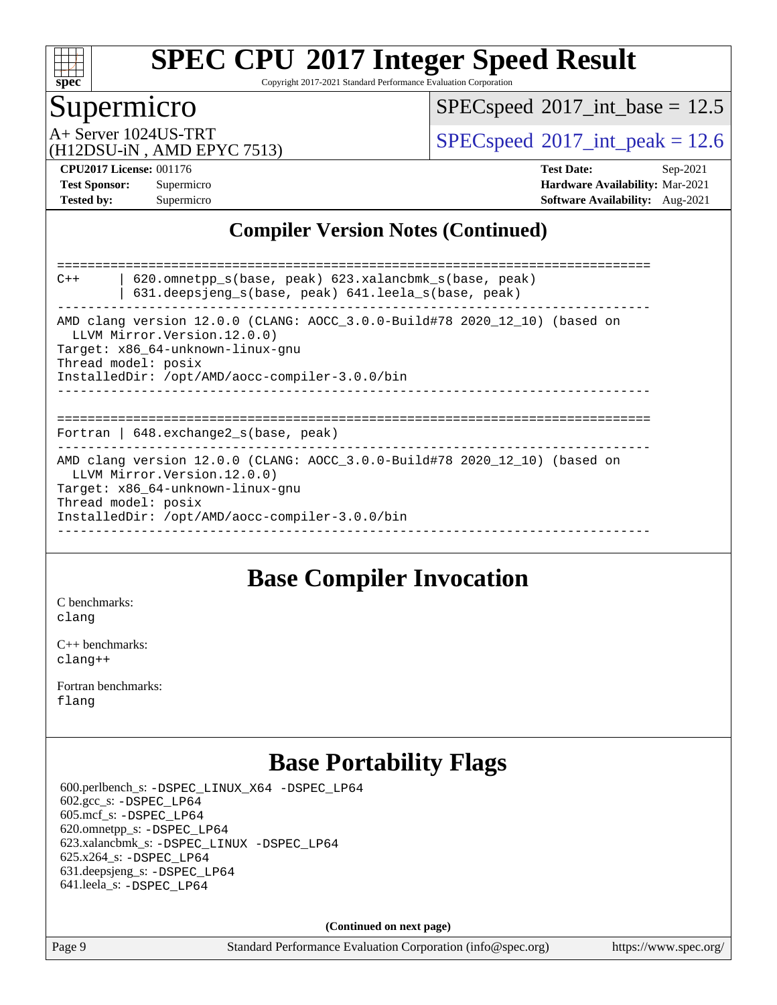

Copyright 2017-2021 Standard Performance Evaluation Corporation

### Supermicro

 $SPECspeed^{\circledcirc}2017\_int\_base = 12.5$  $SPECspeed^{\circledcirc}2017\_int\_base = 12.5$ 

(H12DSU-iN , AMD EPYC 7513)

A+ Server 1024US-TRT  $SPEC speed@2017$ \_int\_peak = 12.6

**[CPU2017 License:](http://www.spec.org/auto/cpu2017/Docs/result-fields.html#CPU2017License)** 001176 **[Test Date:](http://www.spec.org/auto/cpu2017/Docs/result-fields.html#TestDate)** Sep-2021 **[Test Sponsor:](http://www.spec.org/auto/cpu2017/Docs/result-fields.html#TestSponsor)** Supermicro **[Hardware Availability:](http://www.spec.org/auto/cpu2017/Docs/result-fields.html#HardwareAvailability)** Mar-2021 **[Tested by:](http://www.spec.org/auto/cpu2017/Docs/result-fields.html#Testedby)** Supermicro **[Software Availability:](http://www.spec.org/auto/cpu2017/Docs/result-fields.html#SoftwareAvailability)** Aug-2021

### **[Compiler Version Notes \(Continued\)](http://www.spec.org/auto/cpu2017/Docs/result-fields.html#CompilerVersionNotes)**

============================================================================== C++ | 620.omnetpp\_s(base, peak) 623.xalancbmk\_s(base, peak) | 631.deepsjeng\_s(base, peak) 641.leela\_s(base, peak) ------------------------------------------------------------------------------ AMD clang version 12.0.0 (CLANG: AOCC\_3.0.0-Build#78 2020\_12\_10) (based on LLVM Mirror.Version.12.0.0) Target: x86\_64-unknown-linux-gnu Thread model: posix InstalledDir: /opt/AMD/aocc-compiler-3.0.0/bin ------------------------------------------------------------------------------ ============================================================================== Fortran | 648.exchange2\_s(base, peak) ------------------------------------------------------------------------------ AMD clang version 12.0.0 (CLANG: AOCC\_3.0.0-Build#78 2020\_12\_10) (based on LLVM Mirror.Version.12.0.0) Target: x86\_64-unknown-linux-gnu Thread model: posix InstalledDir: /opt/AMD/aocc-compiler-3.0.0/bin ------------------------------------------------------------------------------

### **[Base Compiler Invocation](http://www.spec.org/auto/cpu2017/Docs/result-fields.html#BaseCompilerInvocation)**

[C benchmarks](http://www.spec.org/auto/cpu2017/Docs/result-fields.html#Cbenchmarks): [clang](http://www.spec.org/cpu2017/results/res2021q4/cpu2017-20211012-29726.flags.html#user_CCbase_clang-c)

[C++ benchmarks:](http://www.spec.org/auto/cpu2017/Docs/result-fields.html#CXXbenchmarks) [clang++](http://www.spec.org/cpu2017/results/res2021q4/cpu2017-20211012-29726.flags.html#user_CXXbase_clang-cpp)

[Fortran benchmarks](http://www.spec.org/auto/cpu2017/Docs/result-fields.html#Fortranbenchmarks): [flang](http://www.spec.org/cpu2017/results/res2021q4/cpu2017-20211012-29726.flags.html#user_FCbase_flang)

# **[Base Portability Flags](http://www.spec.org/auto/cpu2017/Docs/result-fields.html#BasePortabilityFlags)**

 600.perlbench\_s: [-DSPEC\\_LINUX\\_X64](http://www.spec.org/cpu2017/results/res2021q4/cpu2017-20211012-29726.flags.html#b600.perlbench_s_basePORTABILITY_DSPEC_LINUX_X64) [-DSPEC\\_LP64](http://www.spec.org/cpu2017/results/res2021q4/cpu2017-20211012-29726.flags.html#b600.perlbench_s_baseEXTRA_PORTABILITY_DSPEC_LP64) 602.gcc\_s: [-DSPEC\\_LP64](http://www.spec.org/cpu2017/results/res2021q4/cpu2017-20211012-29726.flags.html#suite_baseEXTRA_PORTABILITY602_gcc_s_DSPEC_LP64) 605.mcf\_s: [-DSPEC\\_LP64](http://www.spec.org/cpu2017/results/res2021q4/cpu2017-20211012-29726.flags.html#suite_baseEXTRA_PORTABILITY605_mcf_s_DSPEC_LP64) 620.omnetpp\_s: [-DSPEC\\_LP64](http://www.spec.org/cpu2017/results/res2021q4/cpu2017-20211012-29726.flags.html#suite_baseEXTRA_PORTABILITY620_omnetpp_s_DSPEC_LP64) 623.xalancbmk\_s: [-DSPEC\\_LINUX](http://www.spec.org/cpu2017/results/res2021q4/cpu2017-20211012-29726.flags.html#b623.xalancbmk_s_basePORTABILITY_DSPEC_LINUX) [-DSPEC\\_LP64](http://www.spec.org/cpu2017/results/res2021q4/cpu2017-20211012-29726.flags.html#suite_baseEXTRA_PORTABILITY623_xalancbmk_s_DSPEC_LP64) 625.x264\_s: [-DSPEC\\_LP64](http://www.spec.org/cpu2017/results/res2021q4/cpu2017-20211012-29726.flags.html#suite_baseEXTRA_PORTABILITY625_x264_s_DSPEC_LP64) 631.deepsjeng\_s: [-DSPEC\\_LP64](http://www.spec.org/cpu2017/results/res2021q4/cpu2017-20211012-29726.flags.html#suite_baseEXTRA_PORTABILITY631_deepsjeng_s_DSPEC_LP64) 641.leela\_s: [-DSPEC\\_LP64](http://www.spec.org/cpu2017/results/res2021q4/cpu2017-20211012-29726.flags.html#suite_baseEXTRA_PORTABILITY641_leela_s_DSPEC_LP64)

**(Continued on next page)**

Page 9 Standard Performance Evaluation Corporation [\(info@spec.org\)](mailto:info@spec.org) <https://www.spec.org/>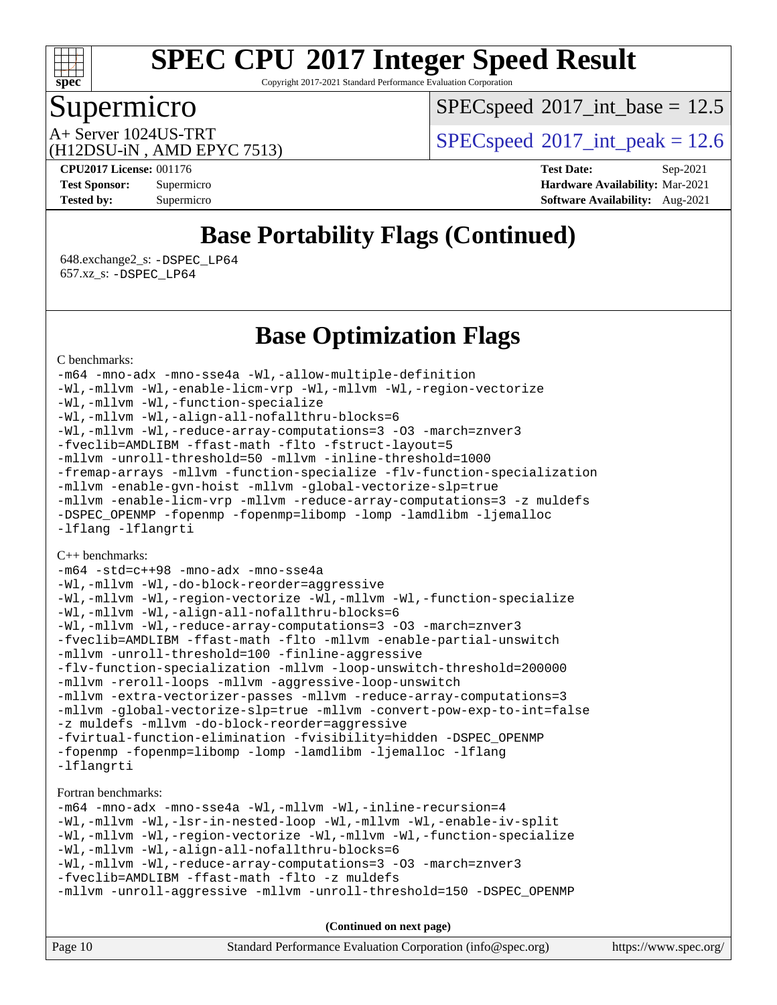

Copyright 2017-2021 Standard Performance Evaluation Corporation

# Supermicro

 $SPECspeed^{\circledcirc}2017\_int\_base = 12.5$  $SPECspeed^{\circledcirc}2017\_int\_base = 12.5$ 

(H12DSU-iN , AMD EPYC 7513)

A+ Server 1024US-TRT  $SPEC speed@2017$ \_int\_peak = 12.6

**[CPU2017 License:](http://www.spec.org/auto/cpu2017/Docs/result-fields.html#CPU2017License)** 001176 **[Test Date:](http://www.spec.org/auto/cpu2017/Docs/result-fields.html#TestDate)** Sep-2021 **[Test Sponsor:](http://www.spec.org/auto/cpu2017/Docs/result-fields.html#TestSponsor)** Supermicro **[Hardware Availability:](http://www.spec.org/auto/cpu2017/Docs/result-fields.html#HardwareAvailability)** Mar-2021 **[Tested by:](http://www.spec.org/auto/cpu2017/Docs/result-fields.html#Testedby)** Supermicro **[Software Availability:](http://www.spec.org/auto/cpu2017/Docs/result-fields.html#SoftwareAvailability)** Aug-2021

# **[Base Portability Flags \(Continued\)](http://www.spec.org/auto/cpu2017/Docs/result-fields.html#BasePortabilityFlags)**

 648.exchange2\_s: [-DSPEC\\_LP64](http://www.spec.org/cpu2017/results/res2021q4/cpu2017-20211012-29726.flags.html#suite_baseEXTRA_PORTABILITY648_exchange2_s_DSPEC_LP64) 657.xz\_s: [-DSPEC\\_LP64](http://www.spec.org/cpu2017/results/res2021q4/cpu2017-20211012-29726.flags.html#suite_baseEXTRA_PORTABILITY657_xz_s_DSPEC_LP64)

### **[Base Optimization Flags](http://www.spec.org/auto/cpu2017/Docs/result-fields.html#BaseOptimizationFlags)**

[C benchmarks](http://www.spec.org/auto/cpu2017/Docs/result-fields.html#Cbenchmarks):

[-m64](http://www.spec.org/cpu2017/results/res2021q4/cpu2017-20211012-29726.flags.html#user_CCbase_F-m64) [-mno-adx](http://www.spec.org/cpu2017/results/res2021q4/cpu2017-20211012-29726.flags.html#user_CCbase_F-mno-adx) [-mno-sse4a](http://www.spec.org/cpu2017/results/res2021q4/cpu2017-20211012-29726.flags.html#user_CCbase_F-mno-sse4a) [-Wl,-allow-multiple-definition](http://www.spec.org/cpu2017/results/res2021q4/cpu2017-20211012-29726.flags.html#user_CCbase_F-allow-multiple-definition_970930b9380f536892d286f43fe3aa60143711811517403e860b887d69527ebeb0ce7f1b66302f2a87b3cab7b5adae5fa57fa46168627b86a7718b21636cd604) [-Wl,-mllvm -Wl,-enable-licm-vrp](http://www.spec.org/cpu2017/results/res2021q4/cpu2017-20211012-29726.flags.html#user_CCbase_F-enable-licm-vrp_65c4fc69039207ec88421e1591ba3bbf2ac715c2f390cac268ece6f40ae7757bd65f971ef38c9b70aedd2bf37e4037d3d64a7fe88db6aed78b6f244274772259) [-Wl,-mllvm -Wl,-region-vectorize](http://www.spec.org/cpu2017/results/res2021q4/cpu2017-20211012-29726.flags.html#user_CCbase_F-region-vectorize_fb6c6b5aa293c88efc6c7c2b52b20755e943585b1fe8658c35afef78727fff56e1a56891413c30e36b8e2a6f9a71126986319243e80eb6110b78b288f533c52b) [-Wl,-mllvm -Wl,-function-specialize](http://www.spec.org/cpu2017/results/res2021q4/cpu2017-20211012-29726.flags.html#user_CCbase_F-function-specialize_7e7e661e57922243ee67c9a1251cb8910e607325179a0ce7f2884e09a6f5d4a5ef0ae4f37e8a2a11c95fc48e931f06dc2b6016f14b511fcb441e048bef1b065a) [-Wl,-mllvm -Wl,-align-all-nofallthru-blocks=6](http://www.spec.org/cpu2017/results/res2021q4/cpu2017-20211012-29726.flags.html#user_CCbase_F-align-all-nofallthru-blocks) [-Wl,-mllvm -Wl,-reduce-array-computations=3](http://www.spec.org/cpu2017/results/res2021q4/cpu2017-20211012-29726.flags.html#user_CCbase_F-reduce-array-computations_b882aefe7a5dda4e33149f6299762b9a720dace3e498e13756f4c04e5a19edf5315c1f3993de2e61ec41e8c206231f84e05da7040e1bb5d69ba27d10a12507e4) [-O3](http://www.spec.org/cpu2017/results/res2021q4/cpu2017-20211012-29726.flags.html#user_CCbase_F-O3) [-march=znver3](http://www.spec.org/cpu2017/results/res2021q4/cpu2017-20211012-29726.flags.html#user_CCbase_aocc-march) [-fveclib=AMDLIBM](http://www.spec.org/cpu2017/results/res2021q4/cpu2017-20211012-29726.flags.html#user_CCbase_F-fveclib) [-ffast-math](http://www.spec.org/cpu2017/results/res2021q4/cpu2017-20211012-29726.flags.html#user_CCbase_aocc-ffast-math) [-flto](http://www.spec.org/cpu2017/results/res2021q4/cpu2017-20211012-29726.flags.html#user_CCbase_aocc-flto) [-fstruct-layout=5](http://www.spec.org/cpu2017/results/res2021q4/cpu2017-20211012-29726.flags.html#user_CCbase_F-struct-layout) [-mllvm -unroll-threshold=50](http://www.spec.org/cpu2017/results/res2021q4/cpu2017-20211012-29726.flags.html#user_CCbase_F-unroll-threshold_458874500b2c105d6d5cb4d7a611c40e2b16e9e3d26b355fea72d644c3673b4de4b3932662f0ed3dbec75c491a13da2d2ca81180bd779dc531083ef1e1e549dc) [-mllvm -inline-threshold=1000](http://www.spec.org/cpu2017/results/res2021q4/cpu2017-20211012-29726.flags.html#user_CCbase_F-inline-threshold_b7832241b0a6397e4ecdbaf0eb7defdc10f885c2a282fa3240fdc99844d543fda39cf8a4a9dccf68cf19b5438ac3b455264f478df15da0f4988afa40d8243bab) [-fremap-arrays](http://www.spec.org/cpu2017/results/res2021q4/cpu2017-20211012-29726.flags.html#user_CCbase_F-fremap-arrays) [-mllvm -function-specialize](http://www.spec.org/cpu2017/results/res2021q4/cpu2017-20211012-29726.flags.html#user_CCbase_F-function-specialize_233b3bdba86027f1b094368157e481c5bc59f40286dc25bfadc1858dcd5745c24fd30d5f188710db7fea399bcc9f44a80b3ce3aacc70a8870250c3ae5e1f35b8) [-flv-function-specialization](http://www.spec.org/cpu2017/results/res2021q4/cpu2017-20211012-29726.flags.html#user_CCbase_F-flv-function-specialization) [-mllvm -enable-gvn-hoist](http://www.spec.org/cpu2017/results/res2021q4/cpu2017-20211012-29726.flags.html#user_CCbase_F-enable-gvn-hoist_e5856354646dd6ca1333a0ad99b817e4cf8932b91b82809fd8fd47ceff7b22a89eba5c98fd3e3fa5200368fd772cec3dd56abc3c8f7b655a71b9f9848dddedd5) [-mllvm -global-vectorize-slp=true](http://www.spec.org/cpu2017/results/res2021q4/cpu2017-20211012-29726.flags.html#user_CCbase_F-global-vectorize-slp_f701c289ed3fc79483844cad3672606d268e3123d2651e764a36e57810b634b30ff7af25c43ce4288d0e4c1cc47ba156fce6ed971bc0d0e53c4c557f353d3dec) [-mllvm -enable-licm-vrp](http://www.spec.org/cpu2017/results/res2021q4/cpu2017-20211012-29726.flags.html#user_CCbase_F-enable-licm-vrp_82fd83574dee81d8c8043a1355024a53ba7c23d449242d72368fd778ae4cd8625fb6c8e473e88c632367ccc13b0c321b9a13b8db897fcfc1592cf0205fd356b5) [-mllvm -reduce-array-computations=3](http://www.spec.org/cpu2017/results/res2021q4/cpu2017-20211012-29726.flags.html#user_CCbase_F-reduce-array-computations) [-z muldefs](http://www.spec.org/cpu2017/results/res2021q4/cpu2017-20211012-29726.flags.html#user_CCbase_aocc-muldefs) [-DSPEC\\_OPENMP](http://www.spec.org/cpu2017/results/res2021q4/cpu2017-20211012-29726.flags.html#suite_CCbase_DSPEC_OPENMP) [-fopenmp](http://www.spec.org/cpu2017/results/res2021q4/cpu2017-20211012-29726.flags.html#user_CCbase_aocc-fopenmp) [-fopenmp=libomp](http://www.spec.org/cpu2017/results/res2021q4/cpu2017-20211012-29726.flags.html#user_CCbase_aocc-fopenmp_3eb6ab80166bcc84161ff8c20c8d5bc344f88119f45620444596454f7d72e99b7a0ceefc2d1b4d190bd07306bbfdfc20f11f5a2dc69c9b03c72239f8406741c3) [-lomp](http://www.spec.org/cpu2017/results/res2021q4/cpu2017-20211012-29726.flags.html#user_CCbase_F-lomp) [-lamdlibm](http://www.spec.org/cpu2017/results/res2021q4/cpu2017-20211012-29726.flags.html#user_CCbase_F-lamdlibm) [-ljemalloc](http://www.spec.org/cpu2017/results/res2021q4/cpu2017-20211012-29726.flags.html#user_CCbase_jemalloc-lib) [-lflang](http://www.spec.org/cpu2017/results/res2021q4/cpu2017-20211012-29726.flags.html#user_CCbase_F-lflang) [-lflangrti](http://www.spec.org/cpu2017/results/res2021q4/cpu2017-20211012-29726.flags.html#user_CCbase_F-lflangrti)

#### [C++ benchmarks:](http://www.spec.org/auto/cpu2017/Docs/result-fields.html#CXXbenchmarks)

```
-m64 -std=c++98 -mno-adx -mno-sse4a
-Wl,-mllvm -Wl,-do-block-reorder=aggressive
-Wl,-mllvm -Wl,-region-vectorize -Wl,-mllvm -Wl,-function-specialize
-Wl,-mllvm -Wl,-align-all-nofallthru-blocks=6
-Wl,-mllvm -Wl,-reduce-array-computations=3 -O3 -march=znver3
-fveclib=AMDLIBM -ffast-math -flto -mllvm -enable-partial-unswitch
-mllvm -unroll-threshold=100 -finline-aggressive
-flv-function-specialization -mllvm -loop-unswitch-threshold=200000
-mllvm -reroll-loops -mllvm -aggressive-loop-unswitch
-mllvm -extra-vectorizer-passes -mllvm -reduce-array-computations=3
-mllvm -global-vectorize-slp=true -mllvm -convert-pow-exp-to-int=false
-z muldefs -mllvm -do-block-reorder=aggressive
-fvirtual-function-elimination -fvisibility=hidden -DSPEC_OPENMP
-fopenmp -fopenmp=libomp -lomp -lamdlibm -ljemalloc -lflang
-lflangrti
```
#### [Fortran benchmarks](http://www.spec.org/auto/cpu2017/Docs/result-fields.html#Fortranbenchmarks):

[-m64](http://www.spec.org/cpu2017/results/res2021q4/cpu2017-20211012-29726.flags.html#user_FCbase_F-m64) [-mno-adx](http://www.spec.org/cpu2017/results/res2021q4/cpu2017-20211012-29726.flags.html#user_FCbase_F-mno-adx) [-mno-sse4a](http://www.spec.org/cpu2017/results/res2021q4/cpu2017-20211012-29726.flags.html#user_FCbase_F-mno-sse4a) [-Wl,-mllvm -Wl,-inline-recursion=4](http://www.spec.org/cpu2017/results/res2021q4/cpu2017-20211012-29726.flags.html#user_FCbase_F-inline-recursion) [-Wl,-mllvm -Wl,-lsr-in-nested-loop](http://www.spec.org/cpu2017/results/res2021q4/cpu2017-20211012-29726.flags.html#user_FCbase_F-lsr-in-nested-loop) [-Wl,-mllvm -Wl,-enable-iv-split](http://www.spec.org/cpu2017/results/res2021q4/cpu2017-20211012-29726.flags.html#user_FCbase_F-enable-iv-split) [-Wl,-mllvm -Wl,-region-vectorize](http://www.spec.org/cpu2017/results/res2021q4/cpu2017-20211012-29726.flags.html#user_FCbase_F-region-vectorize_fb6c6b5aa293c88efc6c7c2b52b20755e943585b1fe8658c35afef78727fff56e1a56891413c30e36b8e2a6f9a71126986319243e80eb6110b78b288f533c52b) [-Wl,-mllvm -Wl,-function-specialize](http://www.spec.org/cpu2017/results/res2021q4/cpu2017-20211012-29726.flags.html#user_FCbase_F-function-specialize_7e7e661e57922243ee67c9a1251cb8910e607325179a0ce7f2884e09a6f5d4a5ef0ae4f37e8a2a11c95fc48e931f06dc2b6016f14b511fcb441e048bef1b065a) [-Wl,-mllvm -Wl,-align-all-nofallthru-blocks=6](http://www.spec.org/cpu2017/results/res2021q4/cpu2017-20211012-29726.flags.html#user_FCbase_F-align-all-nofallthru-blocks) [-Wl,-mllvm -Wl,-reduce-array-computations=3](http://www.spec.org/cpu2017/results/res2021q4/cpu2017-20211012-29726.flags.html#user_FCbase_F-reduce-array-computations_b882aefe7a5dda4e33149f6299762b9a720dace3e498e13756f4c04e5a19edf5315c1f3993de2e61ec41e8c206231f84e05da7040e1bb5d69ba27d10a12507e4) [-O3](http://www.spec.org/cpu2017/results/res2021q4/cpu2017-20211012-29726.flags.html#user_FCbase_F-O3) [-march=znver3](http://www.spec.org/cpu2017/results/res2021q4/cpu2017-20211012-29726.flags.html#user_FCbase_aocc-march) [-fveclib=AMDLIBM](http://www.spec.org/cpu2017/results/res2021q4/cpu2017-20211012-29726.flags.html#user_FCbase_F-fveclib) [-ffast-math](http://www.spec.org/cpu2017/results/res2021q4/cpu2017-20211012-29726.flags.html#user_FCbase_aocc-ffast-math) [-flto](http://www.spec.org/cpu2017/results/res2021q4/cpu2017-20211012-29726.flags.html#user_FCbase_aocc-flto) [-z muldefs](http://www.spec.org/cpu2017/results/res2021q4/cpu2017-20211012-29726.flags.html#user_FCbase_aocc-muldefs) [-mllvm -unroll-aggressive](http://www.spec.org/cpu2017/results/res2021q4/cpu2017-20211012-29726.flags.html#user_FCbase_F-unroll-aggressive) [-mllvm -unroll-threshold=150](http://www.spec.org/cpu2017/results/res2021q4/cpu2017-20211012-29726.flags.html#user_FCbase_F-unroll-threshold_3352736ce55666ed13437f5f5fd6693920e68d4dfd26bba42492bb1c46b6d7692ff5ba7bd4d2ebdab48d140ca981a39154ff0664b4d322a66fc3d1aafa4d7ffe) [-DSPEC\\_OPENMP](http://www.spec.org/cpu2017/results/res2021q4/cpu2017-20211012-29726.flags.html#suite_FCbase_DSPEC_OPENMP)

Page 10 Standard Performance Evaluation Corporation [\(info@spec.org\)](mailto:info@spec.org) <https://www.spec.org/> **(Continued on next page)**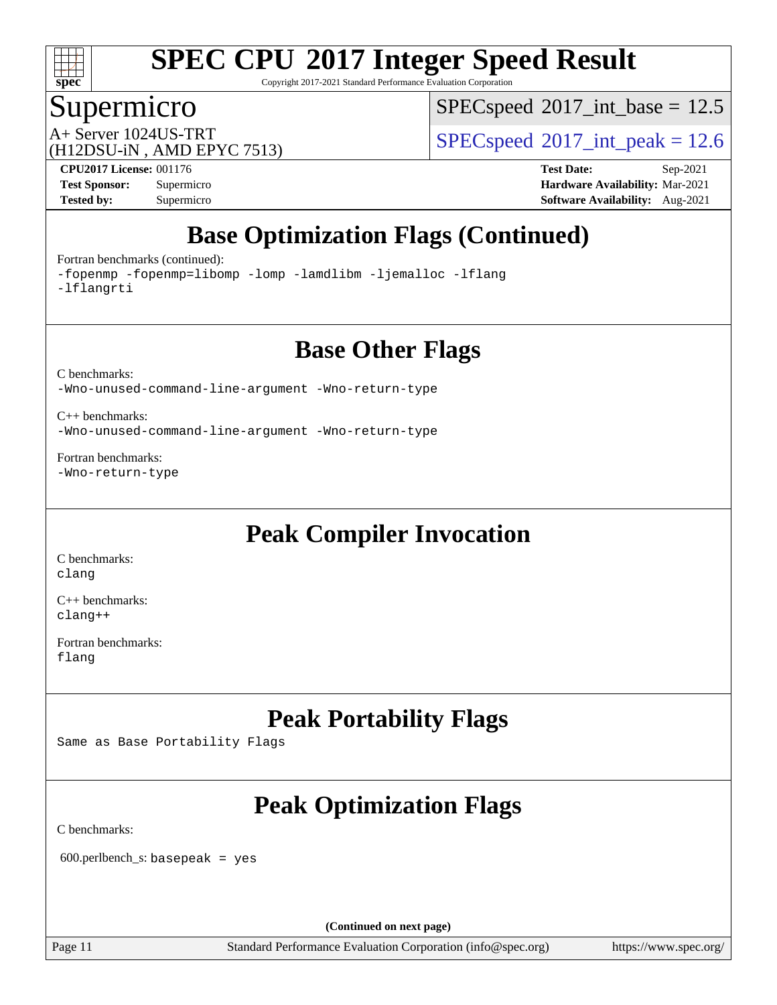

Copyright 2017-2021 Standard Performance Evaluation Corporation

### Supermicro

 $SPEC speed$ <sup>®</sup> $2017$ \_int\_base = 12.5

(H12DSU-iN , AMD EPYC 7513)

A+ Server 1024US-TRT  $SPEC speed@2017$ \_int\_peak = 12.6

**[Tested by:](http://www.spec.org/auto/cpu2017/Docs/result-fields.html#Testedby)** Supermicro **[Software Availability:](http://www.spec.org/auto/cpu2017/Docs/result-fields.html#SoftwareAvailability)** Aug-2021

**[CPU2017 License:](http://www.spec.org/auto/cpu2017/Docs/result-fields.html#CPU2017License)** 001176 **[Test Date:](http://www.spec.org/auto/cpu2017/Docs/result-fields.html#TestDate)** Sep-2021 **[Test Sponsor:](http://www.spec.org/auto/cpu2017/Docs/result-fields.html#TestSponsor)** Supermicro **[Hardware Availability:](http://www.spec.org/auto/cpu2017/Docs/result-fields.html#HardwareAvailability)** Mar-2021

# **[Base Optimization Flags \(Continued\)](http://www.spec.org/auto/cpu2017/Docs/result-fields.html#BaseOptimizationFlags)**

[Fortran benchmarks](http://www.spec.org/auto/cpu2017/Docs/result-fields.html#Fortranbenchmarks) (continued):

[-fopenmp](http://www.spec.org/cpu2017/results/res2021q4/cpu2017-20211012-29726.flags.html#user_FCbase_aocc-fopenmp) [-fopenmp=libomp](http://www.spec.org/cpu2017/results/res2021q4/cpu2017-20211012-29726.flags.html#user_FCbase_aocc-fopenmp_3eb6ab80166bcc84161ff8c20c8d5bc344f88119f45620444596454f7d72e99b7a0ceefc2d1b4d190bd07306bbfdfc20f11f5a2dc69c9b03c72239f8406741c3) [-lomp](http://www.spec.org/cpu2017/results/res2021q4/cpu2017-20211012-29726.flags.html#user_FCbase_F-lomp) [-lamdlibm](http://www.spec.org/cpu2017/results/res2021q4/cpu2017-20211012-29726.flags.html#user_FCbase_F-lamdlibm) [-ljemalloc](http://www.spec.org/cpu2017/results/res2021q4/cpu2017-20211012-29726.flags.html#user_FCbase_jemalloc-lib) [-lflang](http://www.spec.org/cpu2017/results/res2021q4/cpu2017-20211012-29726.flags.html#user_FCbase_F-lflang) [-lflangrti](http://www.spec.org/cpu2017/results/res2021q4/cpu2017-20211012-29726.flags.html#user_FCbase_F-lflangrti)

### **[Base Other Flags](http://www.spec.org/auto/cpu2017/Docs/result-fields.html#BaseOtherFlags)**

[C benchmarks](http://www.spec.org/auto/cpu2017/Docs/result-fields.html#Cbenchmarks): [-Wno-unused-command-line-argument](http://www.spec.org/cpu2017/results/res2021q4/cpu2017-20211012-29726.flags.html#user_CCbase_F-Wno-unused-command-line-argument) [-Wno-return-type](http://www.spec.org/cpu2017/results/res2021q4/cpu2017-20211012-29726.flags.html#user_CCbase_F-Waocc-no-return-type)

[C++ benchmarks:](http://www.spec.org/auto/cpu2017/Docs/result-fields.html#CXXbenchmarks) [-Wno-unused-command-line-argument](http://www.spec.org/cpu2017/results/res2021q4/cpu2017-20211012-29726.flags.html#user_CXXbase_F-Wno-unused-command-line-argument) [-Wno-return-type](http://www.spec.org/cpu2017/results/res2021q4/cpu2017-20211012-29726.flags.html#user_CXXbase_F-Waocc-no-return-type)

[Fortran benchmarks](http://www.spec.org/auto/cpu2017/Docs/result-fields.html#Fortranbenchmarks): [-Wno-return-type](http://www.spec.org/cpu2017/results/res2021q4/cpu2017-20211012-29726.flags.html#user_FCbase_F-Waocc-no-return-type)

# **[Peak Compiler Invocation](http://www.spec.org/auto/cpu2017/Docs/result-fields.html#PeakCompilerInvocation)**

[C benchmarks](http://www.spec.org/auto/cpu2017/Docs/result-fields.html#Cbenchmarks): [clang](http://www.spec.org/cpu2017/results/res2021q4/cpu2017-20211012-29726.flags.html#user_CCpeak_clang-c)

[C++ benchmarks:](http://www.spec.org/auto/cpu2017/Docs/result-fields.html#CXXbenchmarks) [clang++](http://www.spec.org/cpu2017/results/res2021q4/cpu2017-20211012-29726.flags.html#user_CXXpeak_clang-cpp)

[Fortran benchmarks](http://www.spec.org/auto/cpu2017/Docs/result-fields.html#Fortranbenchmarks): [flang](http://www.spec.org/cpu2017/results/res2021q4/cpu2017-20211012-29726.flags.html#user_FCpeak_flang)

# **[Peak Portability Flags](http://www.spec.org/auto/cpu2017/Docs/result-fields.html#PeakPortabilityFlags)**

Same as Base Portability Flags

# **[Peak Optimization Flags](http://www.spec.org/auto/cpu2017/Docs/result-fields.html#PeakOptimizationFlags)**

[C benchmarks](http://www.spec.org/auto/cpu2017/Docs/result-fields.html#Cbenchmarks):

600.perlbench\_s: basepeak = yes

**(Continued on next page)**

Page 11 Standard Performance Evaluation Corporation [\(info@spec.org\)](mailto:info@spec.org) <https://www.spec.org/>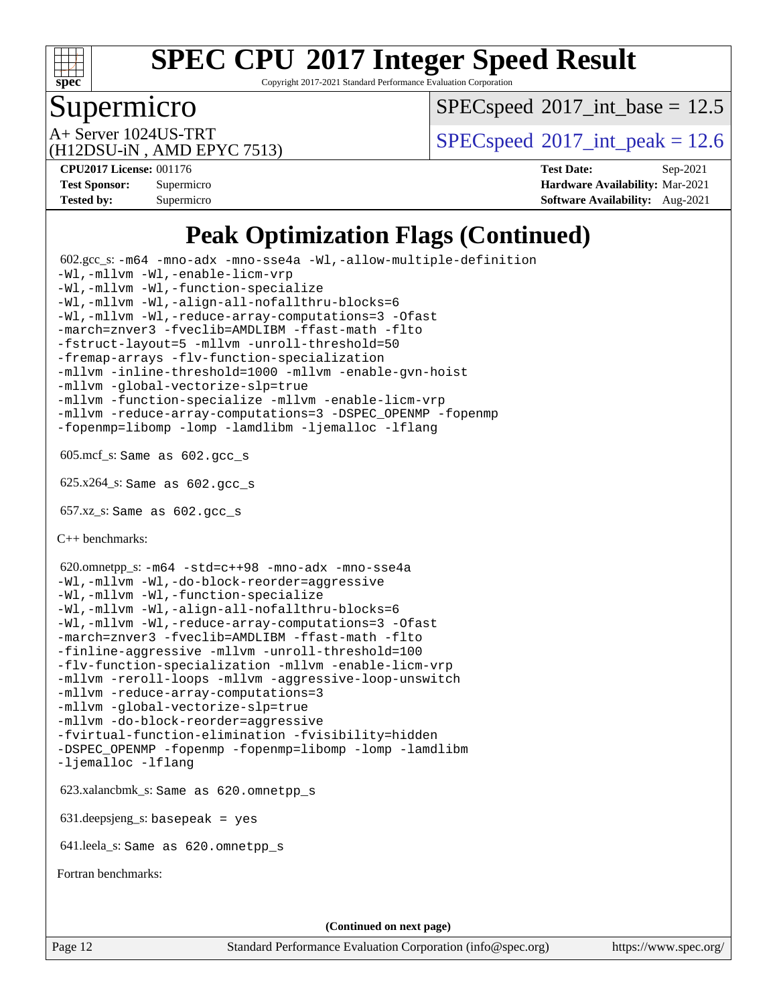

Copyright 2017-2021 Standard Performance Evaluation Corporation

### Supermicro

 $SPECspeed^{\circledcirc}2017\_int\_base = 12.5$  $SPECspeed^{\circledcirc}2017\_int\_base = 12.5$ 

(H12DSU-iN , AMD EPYC 7513)

A+ Server 1024US-TRT  $SPEC speed@2017$ \_int\_peak = 12.6

**[CPU2017 License:](http://www.spec.org/auto/cpu2017/Docs/result-fields.html#CPU2017License)** 001176 **[Test Date:](http://www.spec.org/auto/cpu2017/Docs/result-fields.html#TestDate)** Sep-2021 **[Test Sponsor:](http://www.spec.org/auto/cpu2017/Docs/result-fields.html#TestSponsor)** Supermicro **[Hardware Availability:](http://www.spec.org/auto/cpu2017/Docs/result-fields.html#HardwareAvailability)** Mar-2021 **[Tested by:](http://www.spec.org/auto/cpu2017/Docs/result-fields.html#Testedby)** Supermicro **[Software Availability:](http://www.spec.org/auto/cpu2017/Docs/result-fields.html#SoftwareAvailability)** Aug-2021

# **[Peak Optimization Flags \(Continued\)](http://www.spec.org/auto/cpu2017/Docs/result-fields.html#PeakOptimizationFlags)**

 602.gcc\_s: [-m64](http://www.spec.org/cpu2017/results/res2021q4/cpu2017-20211012-29726.flags.html#user_peakCCLD602_gcc_s_F-m64) [-mno-adx](http://www.spec.org/cpu2017/results/res2021q4/cpu2017-20211012-29726.flags.html#user_peakCC602_gcc_s_F-mno-adx) [-mno-sse4a](http://www.spec.org/cpu2017/results/res2021q4/cpu2017-20211012-29726.flags.html#user_peakCC602_gcc_s_F-mno-sse4a) [-Wl,-allow-multiple-definition](http://www.spec.org/cpu2017/results/res2021q4/cpu2017-20211012-29726.flags.html#user_peakLDCFLAGS602_gcc_s_F-allow-multiple-definition_970930b9380f536892d286f43fe3aa60143711811517403e860b887d69527ebeb0ce7f1b66302f2a87b3cab7b5adae5fa57fa46168627b86a7718b21636cd604) [-Wl,-mllvm -Wl,-enable-licm-vrp](http://www.spec.org/cpu2017/results/res2021q4/cpu2017-20211012-29726.flags.html#user_peakLDCFLAGS602_gcc_s_F-enable-licm-vrp_65c4fc69039207ec88421e1591ba3bbf2ac715c2f390cac268ece6f40ae7757bd65f971ef38c9b70aedd2bf37e4037d3d64a7fe88db6aed78b6f244274772259) [-Wl,-mllvm -Wl,-function-specialize](http://www.spec.org/cpu2017/results/res2021q4/cpu2017-20211012-29726.flags.html#user_peakEXTRA_LDFLAGS602_gcc_s_F-function-specialize_7e7e661e57922243ee67c9a1251cb8910e607325179a0ce7f2884e09a6f5d4a5ef0ae4f37e8a2a11c95fc48e931f06dc2b6016f14b511fcb441e048bef1b065a) [-Wl,-mllvm -Wl,-align-all-nofallthru-blocks=6](http://www.spec.org/cpu2017/results/res2021q4/cpu2017-20211012-29726.flags.html#user_peakEXTRA_LDFLAGS602_gcc_s_F-align-all-nofallthru-blocks) [-Wl,-mllvm -Wl,-reduce-array-computations=3](http://www.spec.org/cpu2017/results/res2021q4/cpu2017-20211012-29726.flags.html#user_peakEXTRA_LDFLAGS602_gcc_s_F-reduce-array-computations_b882aefe7a5dda4e33149f6299762b9a720dace3e498e13756f4c04e5a19edf5315c1f3993de2e61ec41e8c206231f84e05da7040e1bb5d69ba27d10a12507e4) [-Ofast](http://www.spec.org/cpu2017/results/res2021q4/cpu2017-20211012-29726.flags.html#user_peakCOPTIMIZE602_gcc_s_aocc-Ofast) [-march=znver3](http://www.spec.org/cpu2017/results/res2021q4/cpu2017-20211012-29726.flags.html#user_peakCOPTIMIZE602_gcc_s_aocc-march) [-fveclib=AMDLIBM](http://www.spec.org/cpu2017/results/res2021q4/cpu2017-20211012-29726.flags.html#user_peakCOPTIMIZE602_gcc_s_F-fveclib) [-ffast-math](http://www.spec.org/cpu2017/results/res2021q4/cpu2017-20211012-29726.flags.html#user_peakCOPTIMIZE602_gcc_s_aocc-ffast-math) [-flto](http://www.spec.org/cpu2017/results/res2021q4/cpu2017-20211012-29726.flags.html#user_peakCOPTIMIZE602_gcc_s_aocc-flto) [-fstruct-layout=5](http://www.spec.org/cpu2017/results/res2021q4/cpu2017-20211012-29726.flags.html#user_peakCOPTIMIZE602_gcc_s_F-struct-layout) [-mllvm -unroll-threshold=50](http://www.spec.org/cpu2017/results/res2021q4/cpu2017-20211012-29726.flags.html#user_peakCOPTIMIZE602_gcc_s_F-unroll-threshold_458874500b2c105d6d5cb4d7a611c40e2b16e9e3d26b355fea72d644c3673b4de4b3932662f0ed3dbec75c491a13da2d2ca81180bd779dc531083ef1e1e549dc) [-fremap-arrays](http://www.spec.org/cpu2017/results/res2021q4/cpu2017-20211012-29726.flags.html#user_peakCOPTIMIZE602_gcc_s_F-fremap-arrays) [-flv-function-specialization](http://www.spec.org/cpu2017/results/res2021q4/cpu2017-20211012-29726.flags.html#user_peakCOPTIMIZE602_gcc_s_F-flv-function-specialization) [-mllvm -inline-threshold=1000](http://www.spec.org/cpu2017/results/res2021q4/cpu2017-20211012-29726.flags.html#user_peakCOPTIMIZE602_gcc_s_F-inline-threshold_b7832241b0a6397e4ecdbaf0eb7defdc10f885c2a282fa3240fdc99844d543fda39cf8a4a9dccf68cf19b5438ac3b455264f478df15da0f4988afa40d8243bab) [-mllvm -enable-gvn-hoist](http://www.spec.org/cpu2017/results/res2021q4/cpu2017-20211012-29726.flags.html#user_peakCOPTIMIZE602_gcc_s_F-enable-gvn-hoist_e5856354646dd6ca1333a0ad99b817e4cf8932b91b82809fd8fd47ceff7b22a89eba5c98fd3e3fa5200368fd772cec3dd56abc3c8f7b655a71b9f9848dddedd5) [-mllvm -global-vectorize-slp=true](http://www.spec.org/cpu2017/results/res2021q4/cpu2017-20211012-29726.flags.html#user_peakCOPTIMIZE602_gcc_s_F-global-vectorize-slp_f701c289ed3fc79483844cad3672606d268e3123d2651e764a36e57810b634b30ff7af25c43ce4288d0e4c1cc47ba156fce6ed971bc0d0e53c4c557f353d3dec) [-mllvm -function-specialize](http://www.spec.org/cpu2017/results/res2021q4/cpu2017-20211012-29726.flags.html#user_peakCOPTIMIZE602_gcc_s_F-function-specialize_233b3bdba86027f1b094368157e481c5bc59f40286dc25bfadc1858dcd5745c24fd30d5f188710db7fea399bcc9f44a80b3ce3aacc70a8870250c3ae5e1f35b8) [-mllvm -enable-licm-vrp](http://www.spec.org/cpu2017/results/res2021q4/cpu2017-20211012-29726.flags.html#user_peakCOPTIMIZE602_gcc_s_F-enable-licm-vrp_82fd83574dee81d8c8043a1355024a53ba7c23d449242d72368fd778ae4cd8625fb6c8e473e88c632367ccc13b0c321b9a13b8db897fcfc1592cf0205fd356b5) [-mllvm -reduce-array-computations=3](http://www.spec.org/cpu2017/results/res2021q4/cpu2017-20211012-29726.flags.html#user_peakCOPTIMIZE602_gcc_s_F-reduce-array-computations) [-DSPEC\\_OPENMP](http://www.spec.org/cpu2017/results/res2021q4/cpu2017-20211012-29726.flags.html#suite_peakEXTRA_OPTIMIZE602_gcc_s_DSPEC_OPENMP) [-fopenmp](http://www.spec.org/cpu2017/results/res2021q4/cpu2017-20211012-29726.flags.html#user_peakEXTRA_OPTIMIZE602_gcc_s_aocc-fopenmp) [-fopenmp=libomp](http://www.spec.org/cpu2017/results/res2021q4/cpu2017-20211012-29726.flags.html#user_peakEXTRA_LIBS602_gcc_s_aocc-fopenmp_3eb6ab80166bcc84161ff8c20c8d5bc344f88119f45620444596454f7d72e99b7a0ceefc2d1b4d190bd07306bbfdfc20f11f5a2dc69c9b03c72239f8406741c3) [-lomp](http://www.spec.org/cpu2017/results/res2021q4/cpu2017-20211012-29726.flags.html#user_peakEXTRA_LIBS602_gcc_s_F-lomp) [-lamdlibm](http://www.spec.org/cpu2017/results/res2021q4/cpu2017-20211012-29726.flags.html#user_peakEXTRA_LIBS602_gcc_s_F-lamdlibm) [-ljemalloc](http://www.spec.org/cpu2017/results/res2021q4/cpu2017-20211012-29726.flags.html#user_peakEXTRA_LIBS602_gcc_s_jemalloc-lib) [-lflang](http://www.spec.org/cpu2017/results/res2021q4/cpu2017-20211012-29726.flags.html#user_peakEXTRA_LIBS602_gcc_s_F-lflang) 605.mcf\_s: Same as 602.gcc\_s 625.x264\_s: Same as 602.gcc\_s 657.xz\_s: Same as 602.gcc\_s [C++ benchmarks:](http://www.spec.org/auto/cpu2017/Docs/result-fields.html#CXXbenchmarks) 620.omnetpp\_s: [-m64](http://www.spec.org/cpu2017/results/res2021q4/cpu2017-20211012-29726.flags.html#user_peakCXXLD620_omnetpp_s_F-m64) [-std=c++98](http://www.spec.org/cpu2017/results/res2021q4/cpu2017-20211012-29726.flags.html#user_peakCXX620_omnetpp_s_std-cpp) [-mno-adx](http://www.spec.org/cpu2017/results/res2021q4/cpu2017-20211012-29726.flags.html#user_peakCXX620_omnetpp_s_F-mno-adx) [-mno-sse4a](http://www.spec.org/cpu2017/results/res2021q4/cpu2017-20211012-29726.flags.html#user_peakCXX620_omnetpp_s_F-mno-sse4a) [-Wl,-mllvm -Wl,-do-block-reorder=aggressive](http://www.spec.org/cpu2017/results/res2021q4/cpu2017-20211012-29726.flags.html#user_peakLDCXXFLAGS620_omnetpp_s_F-do-block-reorder_5f74e61ee573767a7a801151b896942f7b82b19d6cd9bf8ce970c1e994a093b9201db6c2ab0fa62493e8c1b02c988fb29421a5aa214bf67b5398dfa89747b1b3) [-Wl,-mllvm -Wl,-function-specialize](http://www.spec.org/cpu2017/results/res2021q4/cpu2017-20211012-29726.flags.html#user_peakEXTRA_LDFLAGS620_omnetpp_s_F-function-specialize_7e7e661e57922243ee67c9a1251cb8910e607325179a0ce7f2884e09a6f5d4a5ef0ae4f37e8a2a11c95fc48e931f06dc2b6016f14b511fcb441e048bef1b065a) [-Wl,-mllvm -Wl,-align-all-nofallthru-blocks=6](http://www.spec.org/cpu2017/results/res2021q4/cpu2017-20211012-29726.flags.html#user_peakEXTRA_LDFLAGS620_omnetpp_s_F-align-all-nofallthru-blocks) [-Wl,-mllvm -Wl,-reduce-array-computations=3](http://www.spec.org/cpu2017/results/res2021q4/cpu2017-20211012-29726.flags.html#user_peakEXTRA_LDFLAGS620_omnetpp_s_F-reduce-array-computations_b882aefe7a5dda4e33149f6299762b9a720dace3e498e13756f4c04e5a19edf5315c1f3993de2e61ec41e8c206231f84e05da7040e1bb5d69ba27d10a12507e4) [-Ofast](http://www.spec.org/cpu2017/results/res2021q4/cpu2017-20211012-29726.flags.html#user_peakCXXOPTIMIZE620_omnetpp_s_aocc-Ofast) [-march=znver3](http://www.spec.org/cpu2017/results/res2021q4/cpu2017-20211012-29726.flags.html#user_peakCXXOPTIMIZE620_omnetpp_s_aocc-march) [-fveclib=AMDLIBM](http://www.spec.org/cpu2017/results/res2021q4/cpu2017-20211012-29726.flags.html#user_peakCXXOPTIMIZE620_omnetpp_s_F-fveclib) [-ffast-math](http://www.spec.org/cpu2017/results/res2021q4/cpu2017-20211012-29726.flags.html#user_peakCXXOPTIMIZE620_omnetpp_s_aocc-ffast-math) [-flto](http://www.spec.org/cpu2017/results/res2021q4/cpu2017-20211012-29726.flags.html#user_peakCXXOPTIMIZE620_omnetpp_s_aocc-flto) [-finline-aggressive](http://www.spec.org/cpu2017/results/res2021q4/cpu2017-20211012-29726.flags.html#user_peakCXXOPTIMIZE620_omnetpp_s_F-finline-aggressive) [-mllvm -unroll-threshold=100](http://www.spec.org/cpu2017/results/res2021q4/cpu2017-20211012-29726.flags.html#user_peakCXXOPTIMIZE620_omnetpp_s_F-unroll-threshold) [-flv-function-specialization](http://www.spec.org/cpu2017/results/res2021q4/cpu2017-20211012-29726.flags.html#user_peakCXXOPTIMIZE620_omnetpp_s_F-flv-function-specialization) [-mllvm -enable-licm-vrp](http://www.spec.org/cpu2017/results/res2021q4/cpu2017-20211012-29726.flags.html#user_peakCXXOPTIMIZE620_omnetpp_s_F-enable-licm-vrp_82fd83574dee81d8c8043a1355024a53ba7c23d449242d72368fd778ae4cd8625fb6c8e473e88c632367ccc13b0c321b9a13b8db897fcfc1592cf0205fd356b5) [-mllvm -reroll-loops](http://www.spec.org/cpu2017/results/res2021q4/cpu2017-20211012-29726.flags.html#user_peakCXXOPTIMIZE620_omnetpp_s_F-reroll-loops) [-mllvm -aggressive-loop-unswitch](http://www.spec.org/cpu2017/results/res2021q4/cpu2017-20211012-29726.flags.html#user_peakCXXOPTIMIZE620_omnetpp_s_F-aggressive-loop-unswitch_abd8177005d493f9a81f88ae32814acdc0422950e54bc53b0605c538e2e7549eb43d48c826089056b98aa2f0c142dc7ed1401fa1c97db9286a8c3ff748437b59) [-mllvm -reduce-array-computations=3](http://www.spec.org/cpu2017/results/res2021q4/cpu2017-20211012-29726.flags.html#user_peakCXXOPTIMIZE620_omnetpp_s_F-reduce-array-computations) [-mllvm -global-vectorize-slp=true](http://www.spec.org/cpu2017/results/res2021q4/cpu2017-20211012-29726.flags.html#user_peakCXXOPTIMIZE620_omnetpp_s_F-global-vectorize-slp_f701c289ed3fc79483844cad3672606d268e3123d2651e764a36e57810b634b30ff7af25c43ce4288d0e4c1cc47ba156fce6ed971bc0d0e53c4c557f353d3dec) [-mllvm -do-block-reorder=aggressive](http://www.spec.org/cpu2017/results/res2021q4/cpu2017-20211012-29726.flags.html#user_peakEXTRA_CXXFLAGS620_omnetpp_s_F-do-block-reorder) [-fvirtual-function-elimination](http://www.spec.org/cpu2017/results/res2021q4/cpu2017-20211012-29726.flags.html#user_peakEXTRA_CXXFLAGS620_omnetpp_s_F-fvirtual-function-elimination) [-fvisibility=hidden](http://www.spec.org/cpu2017/results/res2021q4/cpu2017-20211012-29726.flags.html#user_peakEXTRA_CXXFLAGS620_omnetpp_s_F-fvisibility) [-DSPEC\\_OPENMP](http://www.spec.org/cpu2017/results/res2021q4/cpu2017-20211012-29726.flags.html#suite_peakEXTRA_OPTIMIZE620_omnetpp_s_DSPEC_OPENMP) [-fopenmp](http://www.spec.org/cpu2017/results/res2021q4/cpu2017-20211012-29726.flags.html#user_peakEXTRA_OPTIMIZE620_omnetpp_s_aocc-fopenmp) [-fopenmp=libomp](http://www.spec.org/cpu2017/results/res2021q4/cpu2017-20211012-29726.flags.html#user_peakEXTRA_LIBS620_omnetpp_s_aocc-fopenmp_3eb6ab80166bcc84161ff8c20c8d5bc344f88119f45620444596454f7d72e99b7a0ceefc2d1b4d190bd07306bbfdfc20f11f5a2dc69c9b03c72239f8406741c3) [-lomp](http://www.spec.org/cpu2017/results/res2021q4/cpu2017-20211012-29726.flags.html#user_peakEXTRA_LIBS620_omnetpp_s_F-lomp) [-lamdlibm](http://www.spec.org/cpu2017/results/res2021q4/cpu2017-20211012-29726.flags.html#user_peakEXTRA_LIBS620_omnetpp_s_F-lamdlibm) [-ljemalloc](http://www.spec.org/cpu2017/results/res2021q4/cpu2017-20211012-29726.flags.html#user_peakEXTRA_LIBS620_omnetpp_s_jemalloc-lib) [-lflang](http://www.spec.org/cpu2017/results/res2021q4/cpu2017-20211012-29726.flags.html#user_peakEXTRA_LIBS620_omnetpp_s_F-lflang) 623.xalancbmk\_s: Same as 620.omnetpp\_s 631.deepsjeng\_s: basepeak = yes 641.leela\_s: Same as 620.omnetpp\_s [Fortran benchmarks](http://www.spec.org/auto/cpu2017/Docs/result-fields.html#Fortranbenchmarks): **(Continued on next page)**